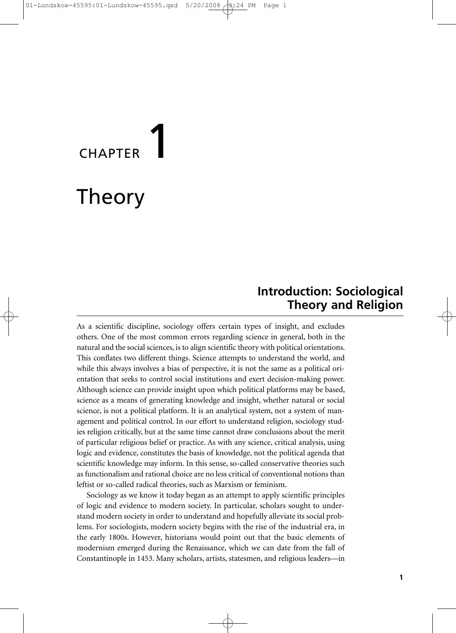# Theory **CHAPTER**

# **Introduction: Sociological Theory and Religion**

As a scientific discipline, sociology offers certain types of insight, and excludes others. One of the most common errors regarding science in general, both in the natural and the social sciences, is to align scientific theory with political orientations. This conflates two different things. Science attempts to understand the world, and while this always involves a bias of perspective, it is not the same as a political orientation that seeks to control social institutions and exert decision-making power. Although science can provide insight upon which political platforms may be based, science as a means of generating knowledge and insight, whether natural or social science, is not a political platform. It is an analytical system, not a system of management and political control. In our effort to understand religion, sociology studies religion critically, but at the same time cannot draw conclusions about the merit of particular religious belief or practice. As with any science, critical analysis, using logic and evidence, constitutes the basis of knowledge, not the political agenda that scientific knowledge may inform. In this sense, so-called conservative theories such as functionalism and rational choice are no less critical of conventional notions than leftist or so-called radical theories, such as Marxism or feminism.

Sociology as we know it today began as an attempt to apply scientific principles of logic and evidence to modern society. In particular, scholars sought to understand modern society in order to understand and hopefully alleviate its social problems. For sociologists, modern society begins with the rise of the industrial era, in the early 1800s. However, historians would point out that the basic elements of modernism emerged during the Renaissance, which we can date from the fall of Constantinople in 1453. Many scholars, artists, statesmen, and religious leaders—in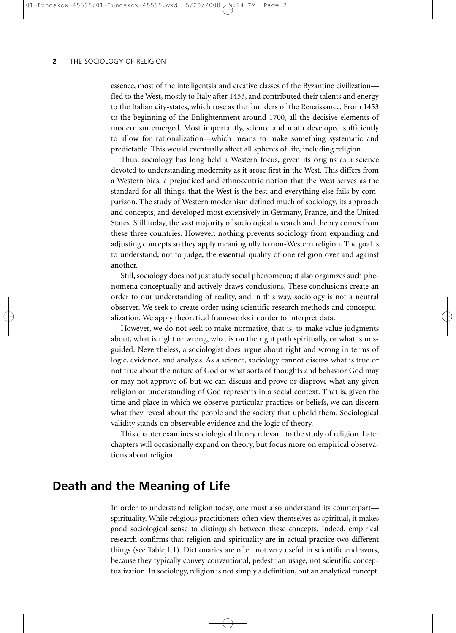essence, most of the intelligentsia and creative classes of the Byzantine civilization fled to the West, mostly to Italy after 1453, and contributed their talents and energy to the Italian city-states, which rose as the founders of the Renaissance. From 1453 to the beginning of the Enlightenment around 1700, all the decisive elements of modernism emerged. Most importantly, science and math developed sufficiently to allow for rationalization—which means to make something systematic and predictable. This would eventually affect all spheres of life, including religion.

Thus, sociology has long held a Western focus, given its origins as a science devoted to understanding modernity as it arose first in the West. This differs from a Western bias, a prejudiced and ethnocentric notion that the West serves as the standard for all things, that the West is the best and everything else fails by comparison. The study of Western modernism defined much of sociology, its approach and concepts, and developed most extensively in Germany, France, and the United States. Still today, the vast majority of sociological research and theory comes from these three countries. However, nothing prevents sociology from expanding and adjusting concepts so they apply meaningfully to non-Western religion. The goal is to understand, not to judge, the essential quality of one religion over and against another.

Still, sociology does not just study social phenomena; it also organizes such phenomena conceptually and actively draws conclusions. These conclusions create an order to our understanding of reality, and in this way, sociology is not a neutral observer. We seek to create order using scientific research methods and conceptualization. We apply theoretical frameworks in order to interpret data.

However, we do not seek to make normative, that is, to make value judgments about, what is right or wrong, what is on the right path spiritually, or what is misguided. Nevertheless, a sociologist does argue about right and wrong in terms of logic, evidence, and analysis. As a science, sociology cannot discuss what is true or not true about the nature of God or what sorts of thoughts and behavior God may or may not approve of, but we can discuss and prove or disprove what any given religion or understanding of God represents in a social context. That is, given the time and place in which we observe particular practices or beliefs, we can discern what they reveal about the people and the society that uphold them. Sociological validity stands on observable evidence and the logic of theory.

This chapter examines sociological theory relevant to the study of religion. Later chapters will occasionally expand on theory, but focus more on empirical observations about religion.

# **Death and the Meaning of Life**

In order to understand religion today, one must also understand its counterpart spirituality. While religious practitioners often view themselves as spiritual, it makes good sociological sense to distinguish between these concepts. Indeed, empirical research confirms that religion and spirituality are in actual practice two different things (see Table 1.1). Dictionaries are often not very useful in scientific endeavors, because they typically convey conventional, pedestrian usage, not scientific conceptualization. In sociology, religion is not simply a definition, but an analytical concept.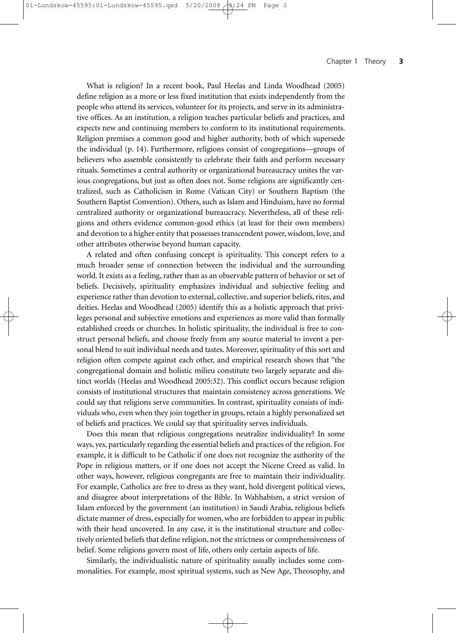What is religion? In a recent book, Paul Heelas and Linda Woodhead (2005) define religion as a more or less fixed institution that exists independently from the people who attend its services, volunteer for its projects, and serve in its administrative offices. As an institution, a religion teaches particular beliefs and practices, and expects new and continuing members to conform to its institutional requirements. Religion premises a common good and higher authority, both of which supersede the individual (p. 14). Furthermore, religions consist of congregations—groups of believers who assemble consistently to celebrate their faith and perform necessary rituals. Sometimes a central authority or organizational bureaucracy unites the various congregations, but just as often does not. Some religions are significantly centralized, such as Catholicism in Rome (Vatican City) or Southern Baptism (the Southern Baptist Convention). Others, such as Islam and Hinduism, have no formal centralized authority or organizational bureaucracy. Nevertheless, all of these religions and others evidence common-good ethics (at least for their own members) and devotion to a higher entity that possesses transcendent power, wisdom, love, and other attributes otherwise beyond human capacity.

A related and often confusing concept is spirituality. This concept refers to a much broader sense of connection between the individual and the surrounding world. It exists as a feeling, rather than as an observable pattern of behavior or set of beliefs. Decisively, spirituality emphasizes individual and subjective feeling and experience rather than devotion to external, collective, and superior beliefs, rites, and deities. Heelas and Woodhead (2005) identify this as a holistic approach that privileges personal and subjective emotions and experiences as more valid than formally established creeds or churches. In holistic spirituality, the individual is free to construct personal beliefs, and choose freely from any source material to invent a personal blend to suit individual needs and tastes. Moreover, spirituality of this sort and religion often compete against each other, and empirical research shows that "the congregational domain and holistic milieu constitute two largely separate and distinct worlds (Heelas and Woodhead 2005:32). This conflict occurs because religion consists of institutional structures that maintain consistency across generations. We could say that religions serve communities. In contrast, spirituality consists of individuals who, even when they join together in groups, retain a highly personalized set of beliefs and practices. We could say that spirituality serves individuals.

Does this mean that religious congregations neutralize individuality? In some ways, yes, particularly regarding the essential beliefs and practices of the religion. For example, it is difficult to be Catholic if one does not recognize the authority of the Pope in religious matters, or if one does not accept the Nicene Creed as valid. In other ways, however, religious congregants are free to maintain their individuality. For example, Catholics are free to dress as they want, hold divergent political views, and disagree about interpretations of the Bible. In Wahhabism, a strict version of Islam enforced by the government (an institution) in Saudi Arabia, religious beliefs dictate manner of dress, especially for women, who are forbidden to appear in public with their head uncovered. In any case, it is the institutional structure and collectively oriented beliefs that define religion, not the strictness or comprehensiveness of belief. Some religions govern most of life, others only certain aspects of life.

Similarly, the individualistic nature of spirituality usually includes some commonalities. For example, most spiritual systems, such as New Age, Theosophy, and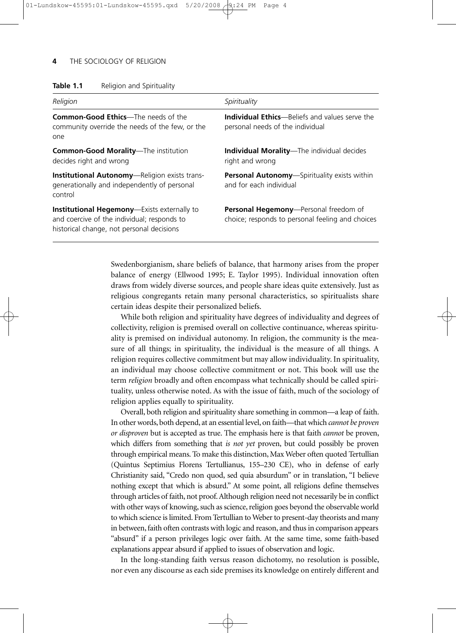| Table 1.1<br>Religion and Spirituality |  |
|----------------------------------------|--|
|----------------------------------------|--|

| Religion                                                                                                                                        | Spirituality                                                                                      |
|-------------------------------------------------------------------------------------------------------------------------------------------------|---------------------------------------------------------------------------------------------------|
| <b>Common-Good Ethics</b> —The needs of the<br>community override the needs of the few, or the<br>one                                           | <b>Individual Ethics</b> —Beliefs and values serve the<br>personal needs of the individual        |
| <b>Common-Good Morality</b> —The institution<br>decides right and wrong                                                                         | <b>Individual Morality</b> —The individual decides<br>right and wrong                             |
| <b>Institutional Autonomy</b> —Religion exists trans-<br>generationally and independently of personal<br>control                                | <b>Personal Autonomy</b> —Spirituality exists within<br>and for each individual                   |
| <b>Institutional Hegemony</b> —Exists externally to<br>and coercive of the individual; responds to<br>historical change, not personal decisions | <b>Personal Hegemony</b> —Personal freedom of<br>choice; responds to personal feeling and choices |

Swedenborgianism, share beliefs of balance, that harmony arises from the proper balance of energy (Ellwood 1995; E. Taylor 1995). Individual innovation often draws from widely diverse sources, and people share ideas quite extensively. Just as religious congregants retain many personal characteristics, so spiritualists share certain ideas despite their personalized beliefs.

While both religion and spirituality have degrees of individuality and degrees of collectivity, religion is premised overall on collective continuance, whereas spirituality is premised on individual autonomy. In religion, the community is the measure of all things; in spirituality, the individual is the measure of all things. A religion requires collective commitment but may allow individuality. In spirituality, an individual may choose collective commitment or not. This book will use the term *religion* broadly and often encompass what technically should be called spirituality, unless otherwise noted. As with the issue of faith, much of the sociology of religion applies equally to spirituality.

Overall, both religion and spirituality share something in common—a leap of faith. In other words, both depend, at an essential level, on faith—that which *cannot be proven or disproven* but is accepted as true. The emphasis here is that faith *cannot* be proven, which differs from something that *is not yet* proven, but could possibly be proven through empirical means. To make this distinction, Max Weber often quoted Tertullian (Quintus Septimius Florens Tertullianus, 155–230 CE), who in defense of early Christianity said, "Credo non quod, sed quia absurdum" or in translation, "I believe nothing except that which is absurd." At some point, all religions define themselves through articles of faith, not proof. Although religion need not necessarily be in conflict with other ways of knowing, such as science, religion goes beyond the observable world to which science is limited. From Tertullian to Weber to present-day theorists and many in between, faith often contrasts with logic and reason, and thus in comparison appears "absurd" if a person privileges logic over faith. At the same time, some faith-based explanations appear absurd if applied to issues of observation and logic.

In the long-standing faith versus reason dichotomy, no resolution is possible, nor even any discourse as each side premises its knowledge on entirely different and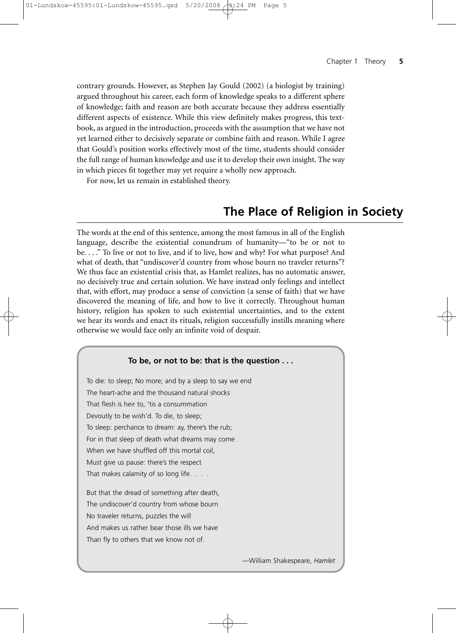contrary grounds. However, as Stephen Jay Gould (2002) (a biologist by training) argued throughout his career, each form of knowledge speaks to a different sphere of knowledge; faith and reason are both accurate because they address essentially different aspects of existence. While this view definitely makes progress, this textbook, as argued in the introduction, proceeds with the assumption that we have not yet learned either to decisively separate or combine faith and reason. While I agree that Gould's position works effectively most of the time, students should consider the full range of human knowledge and use it to develop their own insight. The way in which pieces fit together may yet require a wholly new approach.

For now, let us remain in established theory.

# **The Place of Religion in Society**

The words at the end of this sentence, among the most famous in all of the English language, describe the existential conundrum of humanity—"to be or not to be. . . ." To live or not to live, and if to live, how and why? For what purpose? And what of death, that "undiscover'd country from whose bourn no traveler returns"? We thus face an existential crisis that, as Hamlet realizes, has no automatic answer, no decisively true and certain solution. We have instead only feelings and intellect that, with effort, may produce a sense of conviction (a sense of faith) that we have discovered the meaning of life, and how to live it correctly. Throughout human history, religion has spoken to such existential uncertainties, and to the extent we hear its words and enact its rituals, religion successfully instills meaning where otherwise we would face only an infinite void of despair.

#### **To be, or not to be: that is the question...**

To die: to sleep; No more; and by a sleep to say we end The heart-ache and the thousand natural shocks That flesh is heir to, 'tis a consummation Devoutly to be wish'd. To die, to sleep; To sleep: perchance to dream: ay, there's the rub; For in that sleep of death what dreams may come When we have shuffled off this mortal coil, Must give us pause: there's the respect That makes calamity of so long life. . . .

But that the dread of something after death, The undiscover'd country from whose bourn No traveler returns, puzzles the will And makes us rather bear those ills we have Than fly to others that we know not of.

—William Shakespeare, *Hamlet*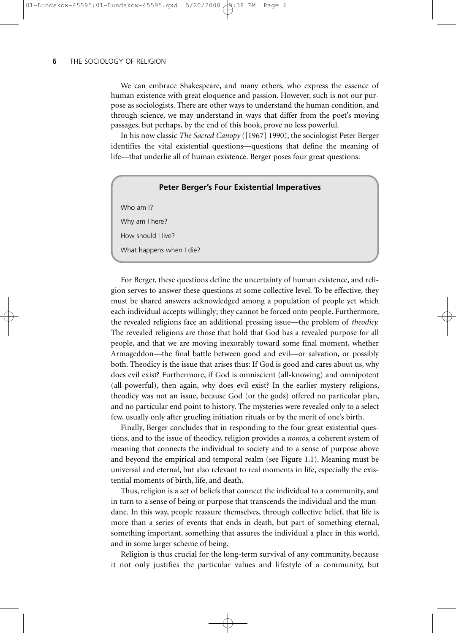We can embrace Shakespeare, and many others, who express the essence of human existence with great eloquence and passion. However, such is not our purpose as sociologists. There are other ways to understand the human condition, and through science, we may understand in ways that differ from the poet's moving passages, but perhaps, by the end of this book, prove no less powerful.

In his now classic *The Sacred Canopy* ([1967] 1990), the sociologist Peter Berger identifies the vital existential questions—questions that define the meaning of life—that underlie all of human existence. Berger poses four great questions:

#### **Peter Berger's Four Existential Imperatives**

Who am I?

Why am I here?

How should I live?

What happens when I die?

For Berger, these questions define the uncertainty of human existence, and religion serves to answer these questions at some collective level. To be effective, they must be shared answers acknowledged among a population of people yet which each individual accepts willingly; they cannot be forced onto people. Furthermore, the revealed religions face an additional pressing issue—the problem of *theodicy.* The revealed religions are those that hold that God has a revealed purpose for all people, and that we are moving inexorably toward some final moment, whether Armageddon—the final battle between good and evil—or salvation, or possibly both. Theodicy is the issue that arises thus: If God is good and cares about us, why does evil exist? Furthermore, if God is omniscient (all-knowing) and omnipotent (all-powerful), then again, why does evil exist? In the earlier mystery religions, theodicy was not an issue, because God (or the gods) offered no particular plan, and no particular end point to history. The mysteries were revealed only to a select few, usually only after grueling initiation rituals or by the merit of one's birth.

Finally, Berger concludes that in responding to the four great existential questions, and to the issue of theodicy, religion provides a *nomos,* a coherent system of meaning that connects the individual to society and to a sense of purpose above and beyond the empirical and temporal realm (see Figure 1.1). Meaning must be universal and eternal, but also relevant to real moments in life, especially the existential moments of birth, life, and death.

Thus, religion is a set of beliefs that connect the individual to a community, and in turn to a sense of being or purpose that transcends the individual and the mundane. In this way, people reassure themselves, through collective belief, that life is more than a series of events that ends in death, but part of something eternal, something important, something that assures the individual a place in this world, and in some larger scheme of being.

Religion is thus crucial for the long-term survival of any community, because it not only justifies the particular values and lifestyle of a community, but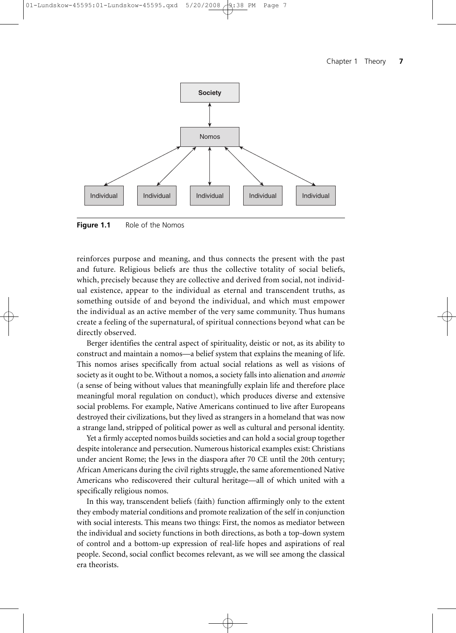

#### **Figure 1.1** Role of the Nomos

reinforces purpose and meaning, and thus connects the present with the past and future. Religious beliefs are thus the collective totality of social beliefs, which, precisely because they are collective and derived from social, not individual existence, appear to the individual as eternal and transcendent truths, as something outside of and beyond the individual, and which must empower the individual as an active member of the very same community. Thus humans create a feeling of the supernatural, of spiritual connections beyond what can be directly observed.

Berger identifies the central aspect of spirituality, deistic or not, as its ability to construct and maintain a nomos—a belief system that explains the meaning of life. This nomos arises specifically from actual social relations as well as visions of society as it ought to be. Without a nomos, a society falls into alienation and *anomie* (a sense of being without values that meaningfully explain life and therefore place meaningful moral regulation on conduct), which produces diverse and extensive social problems. For example, Native Americans continued to live after Europeans destroyed their civilizations, but they lived as strangers in a homeland that was now a strange land, stripped of political power as well as cultural and personal identity.

Yet a firmly accepted nomos builds societies and can hold a social group together despite intolerance and persecution. Numerous historical examples exist: Christians under ancient Rome; the Jews in the diaspora after 70 CE until the 20th century; African Americans during the civil rights struggle, the same aforementioned Native Americans who rediscovered their cultural heritage—all of which united with a specifically religious nomos.

In this way, transcendent beliefs (faith) function affirmingly only to the extent they embody material conditions and promote realization of the self in conjunction with social interests. This means two things: First, the nomos as mediator between the individual and society functions in both directions, as both a top-down system of control and a bottom-up expression of real-life hopes and aspirations of real people. Second, social conflict becomes relevant, as we will see among the classical era theorists.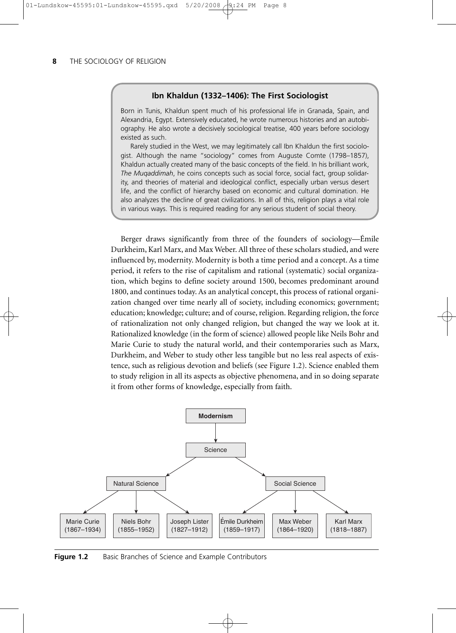#### **Ibn Khaldun (1332–1406): The First Sociologist**

Born in Tunis, Khaldun spent much of his professional life in Granada, Spain, and Alexandria, Egypt. Extensively educated, he wrote numerous histories and an autobiography. He also wrote a decisively sociological treatise, 400 years before sociology existed as such.

Rarely studied in the West, we may legitimately call Ibn Khaldun the first sociologist. Although the name "sociology" comes from Auguste Comte (1798–1857), Khaldun actually created many of the basic concepts of the field. In his brilliant work, *The Muqaddimah*, he coins concepts such as social force, social fact, group solidarity, and theories of material and ideological conflict, especially urban versus desert life, and the conflict of hierarchy based on economic and cultural domination. He also analyzes the decline of great civilizations. In all of this, religion plays a vital role in various ways. This is required reading for any serious student of social theory.

Berger draws significantly from three of the founders of sociology—Émile Durkheim, Karl Marx, and Max Weber. All three of these scholars studied, and were influenced by, modernity. Modernity is both a time period and a concept. As a time period, it refers to the rise of capitalism and rational (systematic) social organization, which begins to define society around 1500, becomes predominant around 1800, and continues today. As an analytical concept, this process of rational organization changed over time nearly all of society, including economics; government; education; knowledge; culture; and of course, religion. Regarding religion, the force of rationalization not only changed religion, but changed the way we look at it. Rationalized knowledge (in the form of science) allowed people like Neils Bohr and Marie Curie to study the natural world, and their contemporaries such as Marx, Durkheim, and Weber to study other less tangible but no less real aspects of existence, such as religious devotion and beliefs (see Figure 1.2). Science enabled them to study religion in all its aspects as objective phenomena, and in so doing separate it from other forms of knowledge, especially from faith.



**Figure 1.2** Basic Branches of Science and Example Contributors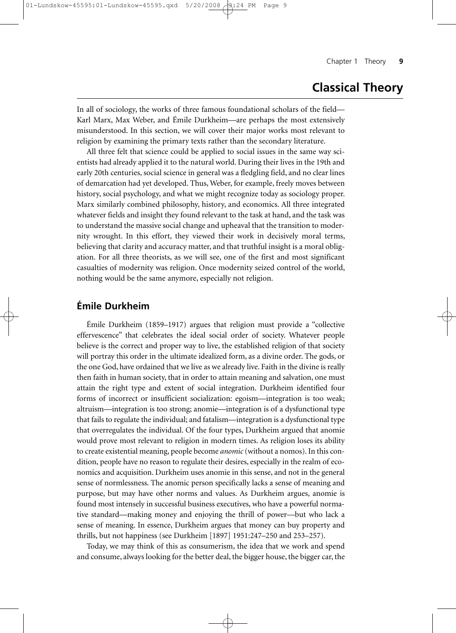# **Classical Theory**

In all of sociology, the works of three famous foundational scholars of the field— Karl Marx, Max Weber, and Émile Durkheim—are perhaps the most extensively misunderstood. In this section, we will cover their major works most relevant to religion by examining the primary texts rather than the secondary literature.

All three felt that science could be applied to social issues in the same way scientists had already applied it to the natural world. During their lives in the 19th and early 20th centuries, social science in general was a fledgling field, and no clear lines of demarcation had yet developed. Thus, Weber, for example, freely moves between history, social psychology, and what we might recognize today as sociology proper. Marx similarly combined philosophy, history, and economics. All three integrated whatever fields and insight they found relevant to the task at hand, and the task was to understand the massive social change and upheaval that the transition to modernity wrought. In this effort, they viewed their work in decisively moral terms, believing that clarity and accuracy matter, and that truthful insight is a moral obligation. For all three theorists, as we will see, one of the first and most significant casualties of modernity was religion. Once modernity seized control of the world, nothing would be the same anymore, especially not religion.

# **Émile Durkheim**

Émile Durkheim (1859–1917) argues that religion must provide a "collective effervescence" that celebrates the ideal social order of society. Whatever people believe is the correct and proper way to live, the established religion of that society will portray this order in the ultimate idealized form, as a divine order. The gods, or the one God, have ordained that we live as we already live. Faith in the divine is really then faith in human society, that in order to attain meaning and salvation, one must attain the right type and extent of social integration. Durkheim identified four forms of incorrect or insufficient socialization: egoism—integration is too weak; altruism—integration is too strong; anomie—integration is of a dysfunctional type that fails to regulate the individual; and fatalism—integration is a dysfunctional type that overregulates the individual. Of the four types, Durkheim argued that anomie would prove most relevant to religion in modern times. As religion loses its ability to create existential meaning, people become *anomic* (without a nomos). In this condition, people have no reason to regulate their desires, especially in the realm of economics and acquisition. Durkheim uses anomie in this sense, and not in the general sense of normlessness. The anomic person specifically lacks a sense of meaning and purpose, but may have other norms and values. As Durkheim argues, anomie is found most intensely in successful business executives, who have a powerful normative standard—making money and enjoying the thrill of power—but who lack a sense of meaning. In essence, Durkheim argues that money can buy property and thrills, but not happiness (see Durkheim [1897] 1951:247–250 and 253–257).

Today, we may think of this as consumerism, the idea that we work and spend and consume, always looking for the better deal, the bigger house, the bigger car, the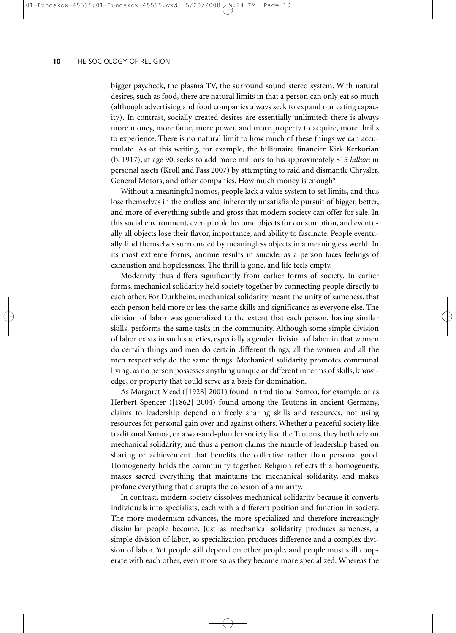bigger paycheck, the plasma TV, the surround sound stereo system. With natural desires, such as food, there are natural limits in that a person can only eat so much (although advertising and food companies always seek to expand our eating capacity). In contrast, socially created desires are essentially unlimited: there is always more money, more fame, more power, and more property to acquire, more thrills to experience. There is no natural limit to how much of these things we can accumulate. As of this writing, for example, the billionaire financier Kirk Kerkorian (b. 1917), at age 90, seeks to add more millions to his approximately \$15 *billion* in personal assets (Kroll and Fass 2007) by attempting to raid and dismantle Chrysler, General Motors, and other companies. How much money is enough?

Without a meaningful nomos, people lack a value system to set limits, and thus lose themselves in the endless and inherently unsatisfiable pursuit of bigger, better, and more of everything subtle and gross that modern society can offer for sale. In this social environment, even people become objects for consumption, and eventually all objects lose their flavor, importance, and ability to fascinate. People eventually find themselves surrounded by meaningless objects in a meaningless world. In its most extreme forms, anomie results in suicide, as a person faces feelings of exhaustion and hopelessness. The thrill is gone, and life feels empty.

Modernity thus differs significantly from earlier forms of society. In earlier forms, mechanical solidarity held society together by connecting people directly to each other. For Durkheim, mechanical solidarity meant the unity of sameness, that each person held more or less the same skills and significance as everyone else. The division of labor was generalized to the extent that each person, having similar skills, performs the same tasks in the community. Although some simple division of labor exists in such societies, especially a gender division of labor in that women do certain things and men do certain different things, all the women and all the men respectively do the same things. Mechanical solidarity promotes communal living, as no person possesses anything unique or different in terms of skills, knowledge, or property that could serve as a basis for domination.

As Margaret Mead ([1928] 2001) found in traditional Samoa, for example, or as Herbert Spencer ([1862] 2004) found among the Teutons in ancient Germany, claims to leadership depend on freely sharing skills and resources, not using resources for personal gain over and against others. Whether a peaceful society like traditional Samoa, or a war-and-plunder society like the Teutons, they both rely on mechanical solidarity, and thus a person claims the mantle of leadership based on sharing or achievement that benefits the collective rather than personal good. Homogeneity holds the community together. Religion reflects this homogeneity, makes sacred everything that maintains the mechanical solidarity, and makes profane everything that disrupts the cohesion of similarity.

In contrast, modern society dissolves mechanical solidarity because it converts individuals into specialists, each with a different position and function in society. The more modernism advances, the more specialized and therefore increasingly dissimilar people become. Just as mechanical solidarity produces sameness, a simple division of labor, so specialization produces difference and a complex division of labor. Yet people still depend on other people, and people must still cooperate with each other, even more so as they become more specialized. Whereas the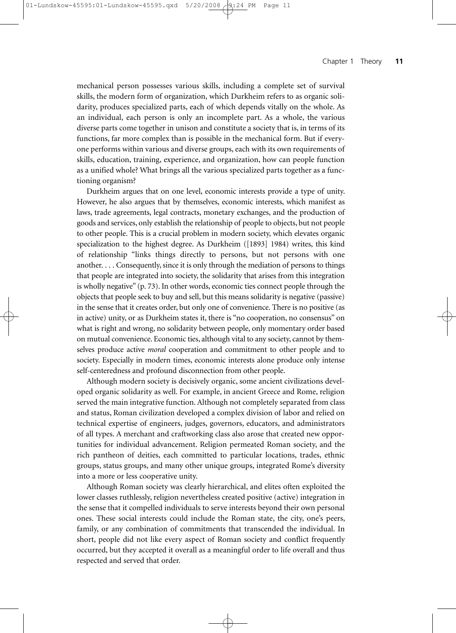mechanical person possesses various skills, including a complete set of survival skills, the modern form of organization, which Durkheim refers to as organic solidarity, produces specialized parts, each of which depends vitally on the whole. As an individual, each person is only an incomplete part. As a whole, the various diverse parts come together in unison and constitute a society that is, in terms of its functions, far more complex than is possible in the mechanical form. But if everyone performs within various and diverse groups, each with its own requirements of skills, education, training, experience, and organization, how can people function as a unified whole? What brings all the various specialized parts together as a functioning organism?

Durkheim argues that on one level, economic interests provide a type of unity. However, he also argues that by themselves, economic interests, which manifest as laws, trade agreements, legal contracts, monetary exchanges, and the production of goods and services, only establish the relationship of people to objects, but not people to other people. This is a crucial problem in modern society, which elevates organic specialization to the highest degree. As Durkheim ([1893] 1984) writes, this kind of relationship "links things directly to persons, but not persons with one another. . . . Consequently, since it is only through the mediation of persons to things that people are integrated into society, the solidarity that arises from this integration is wholly negative" (p. 73). In other words, economic ties connect people through the objects that people seek to buy and sell, but this means solidarity is negative (passive) in the sense that it creates order, but only one of convenience. There is no positive (as in active) unity, or as Durkheim states it, there is "no cooperation, no consensus" on what is right and wrong, no solidarity between people, only momentary order based on mutual convenience. Economic ties, although vital to any society, cannot by themselves produce active *moral* cooperation and commitment to other people and to society. Especially in modern times, economic interests alone produce only intense self-centeredness and profound disconnection from other people.

Although modern society is decisively organic, some ancient civilizations developed organic solidarity as well. For example, in ancient Greece and Rome, religion served the main integrative function. Although not completely separated from class and status, Roman civilization developed a complex division of labor and relied on technical expertise of engineers, judges, governors, educators, and administrators of all types. A merchant and craftworking class also arose that created new opportunities for individual advancement. Religion permeated Roman society, and the rich pantheon of deities, each committed to particular locations, trades, ethnic groups, status groups, and many other unique groups, integrated Rome's diversity into a more or less cooperative unity.

Although Roman society was clearly hierarchical, and elites often exploited the lower classes ruthlessly, religion nevertheless created positive (active) integration in the sense that it compelled individuals to serve interests beyond their own personal ones. These social interests could include the Roman state, the city, one's peers, family, or any combination of commitments that transcended the individual. In short, people did not like every aspect of Roman society and conflict frequently occurred, but they accepted it overall as a meaningful order to life overall and thus respected and served that order.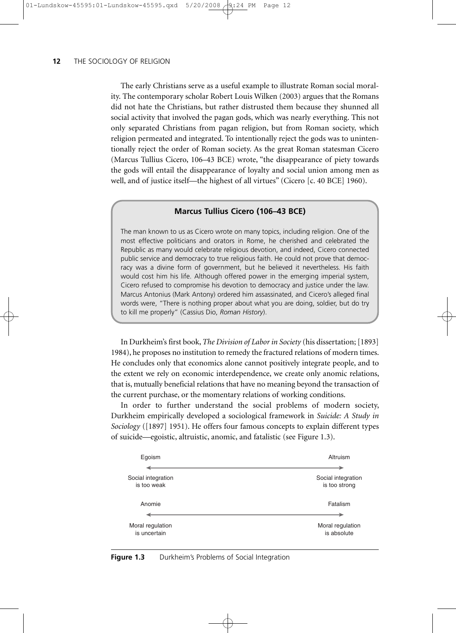The early Christians serve as a useful example to illustrate Roman social morality. The contemporary scholar Robert Louis Wilken (2003) argues that the Romans did not hate the Christians, but rather distrusted them because they shunned all social activity that involved the pagan gods, which was nearly everything. This not only separated Christians from pagan religion, but from Roman society, which religion permeated and integrated. To intentionally reject the gods was to unintentionally reject the order of Roman society. As the great Roman statesman Cicero (Marcus Tullius Cicero, 106–43 BCE) wrote, "the disappearance of piety towards the gods will entail the disappearance of loyalty and social union among men as well, and of justice itself—the highest of all virtues" (Cicero [c. 40 BCE] 1960).

#### **Marcus Tullius Cicero (106–43 BCE)**

The man known to us as Cicero wrote on many topics, including religion. One of the most effective politicians and orators in Rome, he cherished and celebrated the Republic as many would celebrate religious devotion, and indeed, Cicero connected public service and democracy to true religious faith. He could not prove that democracy was a divine form of government, but he believed it nevertheless. His faith would cost him his life. Although offered power in the emerging imperial system, Cicero refused to compromise his devotion to democracy and justice under the law. Marcus Antonius (Mark Antony) ordered him assassinated, and Cicero's alleged final words were, "There is nothing proper about what you are doing, soldier, but do try to kill me properly" (Cassius Dio, *Roman History*).

In Durkheim's first book, *The Division of Labor in Society* (his dissertation; [1893] 1984), he proposes no institution to remedy the fractured relations of modern times. He concludes only that economics alone cannot positively integrate people, and to the extent we rely on economic interdependence, we create only anomic relations, that is, mutually beneficial relations that have no meaning beyond the transaction of the current purchase, or the momentary relations of working conditions.

In order to further understand the social problems of modern society, Durkheim empirically developed a sociological framework in *Suicide: A Study in Sociology* ([1897] 1951). He offers four famous concepts to explain different types of suicide—egoistic, altruistic, anomic, and fatalistic (see Figure 1.3).

| Egoism             | Altruism           |
|--------------------|--------------------|
| Social integration | Social integration |
| is too weak        | is too strong      |
| Anomie             | Fatalism           |
| Moral regulation   | Moral regulation   |
| is uncertain       | is absolute        |

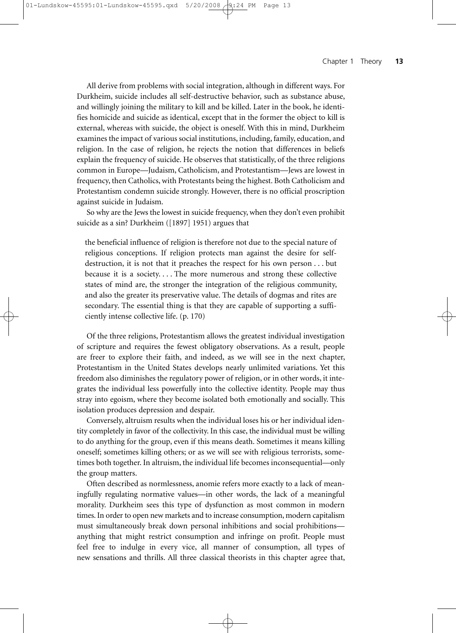All derive from problems with social integration, although in different ways. For Durkheim, suicide includes all self-destructive behavior, such as substance abuse, and willingly joining the military to kill and be killed. Later in the book, he identifies homicide and suicide as identical, except that in the former the object to kill is external, whereas with suicide, the object is oneself. With this in mind, Durkheim examines the impact of various social institutions, including, family, education, and religion. In the case of religion, he rejects the notion that differences in beliefs explain the frequency of suicide. He observes that statistically, of the three religions common in Europe—Judaism, Catholicism, and Protestantism—Jews are lowest in frequency, then Catholics, with Protestants being the highest. Both Catholicism and Protestantism condemn suicide strongly. However, there is no official proscription against suicide in Judaism.

So why are the Jews the lowest in suicide frequency, when they don't even prohibit suicide as a sin? Durkheim ([1897] 1951) argues that

the beneficial influence of religion is therefore not due to the special nature of religious conceptions. If religion protects man against the desire for selfdestruction, it is not that it preaches the respect for his own person . . . but because it is a society. . . . The more numerous and strong these collective states of mind are, the stronger the integration of the religious community, and also the greater its preservative value. The details of dogmas and rites are secondary. The essential thing is that they are capable of supporting a sufficiently intense collective life. (p. 170)

Of the three religions, Protestantism allows the greatest individual investigation of scripture and requires the fewest obligatory observations. As a result, people are freer to explore their faith, and indeed, as we will see in the next chapter, Protestantism in the United States develops nearly unlimited variations. Yet this freedom also diminishes the regulatory power of religion, or in other words, it integrates the individual less powerfully into the collective identity. People may thus stray into egoism, where they become isolated both emotionally and socially. This isolation produces depression and despair.

Conversely, altruism results when the individual loses his or her individual identity completely in favor of the collectivity. In this case, the individual must be willing to do anything for the group, even if this means death. Sometimes it means killing oneself; sometimes killing others; or as we will see with religious terrorists, sometimes both together. In altruism, the individual life becomes inconsequential—only the group matters.

Often described as normlessness, anomie refers more exactly to a lack of meaningfully regulating normative values—in other words, the lack of a meaningful morality. Durkheim sees this type of dysfunction as most common in modern times. In order to open new markets and to increase consumption, modern capitalism must simultaneously break down personal inhibitions and social prohibitions anything that might restrict consumption and infringe on profit. People must feel free to indulge in every vice, all manner of consumption, all types of new sensations and thrills. All three classical theorists in this chapter agree that,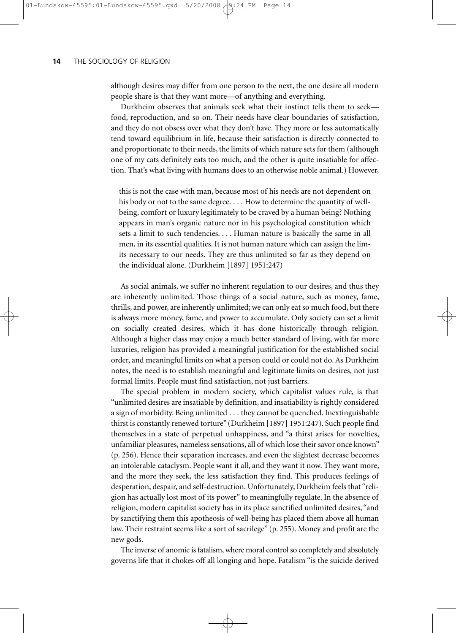although desires may differ from one person to the next, the one desire all modern people share is that they want more—of anything and everything.

Durkheim observes that animals seek what their instinct tells them to seek food, reproduction, and so on. Their needs have clear boundaries of satisfaction, and they do not obsess over what they don't have. They more or less automatically tend toward equilibrium in life, because their satisfaction is directly connected to and proportionate to their needs, the limits of which nature sets for them (although one of my cats definitely eats too much, and the other is quite insatiable for affection. That's what living with humans does to an otherwise noble animal.) However,

this is not the case with man, because most of his needs are not dependent on his body or not to the same degree. . . . How to determine the quantity of wellbeing, comfort or luxury legitimately to be craved by a human being? Nothing appears in man's organic nature nor in his psychological constitution which sets a limit to such tendencies.... Human nature is basically the same in all men, in its essential qualities. It is not human nature which can assign the limits necessary to our needs. They are thus unlimited so far as they depend on the individual alone. (Durkheim [1897] 1951:247)

As social animals, we suffer no inherent regulation to our desires, and thus they are inherently unlimited. Those things of a social nature, such as money, fame, thrills, and power, are inherently unlimited; we can only eat so much food, but there is always more money, fame, and power to accumulate. Only society can set a limit on socially created desires, which it has done historically through religion. Although a higher class may enjoy a much better standard of living, with far more luxuries, religion has provided a meaningful justification for the established social order, and meaningful limits on what a person could or could not do. As Durkheim notes, the need is to establish meaningful and legitimate limits on desires, not just formal limits. People must find satisfaction, not just barriers.

The special problem in modern society, which capitalist values rule, is that "unlimited desires are insatiable by definition, and insatiability is rightly considered a sign of morbidity. Being unlimited . . . they cannot be quenched. Inextinguishable thirst is constantly renewed torture" (Durkheim [1897] 1951:247). Such people find themselves in a state of perpetual unhappiness, and "a thirst arises for novelties, unfamiliar pleasures, nameless sensations, all of which lose their savor once known" (p. 256). Hence their separation increases, and even the slightest decrease becomes an intolerable cataclysm. People want it all, and they want it now. They want more, and the more they seek, the less satisfaction they find. This produces feelings of desperation, despair, and self-destruction. Unfortunately, Durkheim feels that "religion has actually lost most of its power" to meaningfully regulate. In the absence of religion, modern capitalist society has in its place sanctified unlimited desires, "and by sanctifying them this apotheosis of well-being has placed them above all human law. Their restraint seems like a sort of sacrilege" (p. 255). Money and profit are the new gods.

The inverse of anomie is fatalism, where moral control so completely and absolutely governs life that it chokes off all longing and hope. Fatalism "is the suicide derived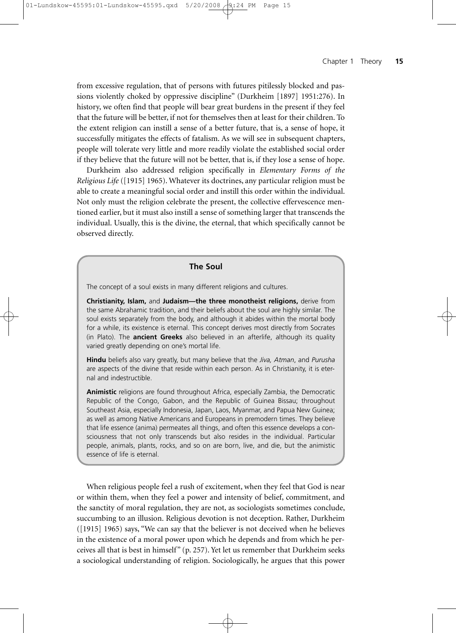from excessive regulation, that of persons with futures pitilessly blocked and passions violently choked by oppressive discipline" (Durkheim [1897] 1951:276). In history, we often find that people will bear great burdens in the present if they feel that the future will be better, if not for themselves then at least for their children. To the extent religion can instill a sense of a better future, that is, a sense of hope, it successfully mitigates the effects of fatalism. As we will see in subsequent chapters, people will tolerate very little and more readily violate the established social order if they believe that the future will not be better, that is, if they lose a sense of hope.

Durkheim also addressed religion specifically in *Elementary Forms of the Religious Life* ([1915] 1965). Whatever its doctrines, any particular religion must be able to create a meaningful social order and instill this order within the individual. Not only must the religion celebrate the present, the collective effervescence mentioned earlier, but it must also instill a sense of something larger that transcends the individual. Usually, this is the divine, the eternal, that which specifically cannot be observed directly.

#### **The Soul**

The concept of a soul exists in many different religions and cultures.

**Christianity, Islam,** and **Judaism—the three monotheist religions,** derive from the same Abrahamic tradition, and their beliefs about the soul are highly similar. The soul exists separately from the body, and although it abides within the mortal body for a while, its existence is eternal. This concept derives most directly from Socrates (in Plato). The **ancient Greeks** also believed in an afterlife, although its quality varied greatly depending on one's mortal life.

**Hindu** beliefs also vary greatly, but many believe that the *Jiva, Atman*, and *Purusha* are aspects of the divine that reside within each person. As in Christianity, it is eternal and indestructible.

**Animistic** religions are found throughout Africa, especially Zambia, the Democratic Republic of the Congo, Gabon, and the Republic of Guinea Bissau; throughout Southeast Asia, especially Indonesia, Japan, Laos, Myanmar, and Papua New Guinea; as well as among Native Americans and Europeans in premodern times. They believe that life essence (anima) permeates all things, and often this essence develops a consciousness that not only transcends but also resides in the individual. Particular people, animals, plants, rocks, and so on are born, live, and die, but the animistic essence of life is eternal.

When religious people feel a rush of excitement, when they feel that God is near or within them, when they feel a power and intensity of belief, commitment, and the sanctity of moral regulation, they are not, as sociologists sometimes conclude, succumbing to an illusion. Religious devotion is not deception. Rather, Durkheim ([1915] 1965) says, "We can say that the believer is not deceived when he believes in the existence of a moral power upon which he depends and from which he perceives all that is best in himself" (p. 257). Yet let us remember that Durkheim seeks a sociological understanding of religion. Sociologically, he argues that this power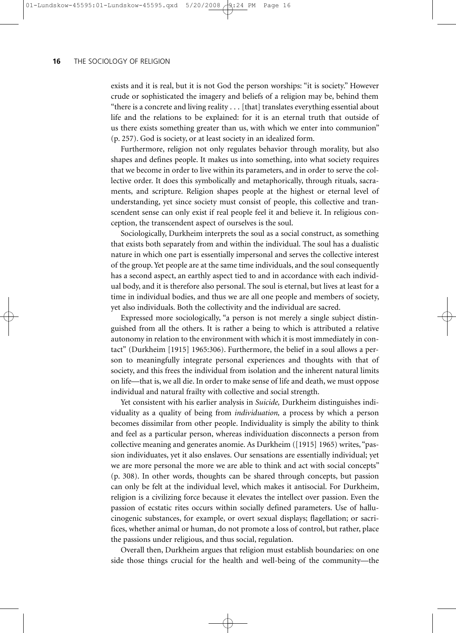exists and it is real, but it is not God the person worships: "it is society." However crude or sophisticated the imagery and beliefs of a religion may be, behind them "there is a concrete and living reality... [that] translates everything essential about life and the relations to be explained: for it is an eternal truth that outside of us there exists something greater than us, with which we enter into communion" (p. 257). God is society, or at least society in an idealized form.

Furthermore, religion not only regulates behavior through morality, but also shapes and defines people. It makes us into something, into what society requires that we become in order to live within its parameters, and in order to serve the collective order. It does this symbolically and metaphorically, through rituals, sacraments, and scripture. Religion shapes people at the highest or eternal level of understanding, yet since society must consist of people, this collective and transcendent sense can only exist if real people feel it and believe it. In religious conception, the transcendent aspect of ourselves is the soul.

Sociologically, Durkheim interprets the soul as a social construct, as something that exists both separately from and within the individual. The soul has a dualistic nature in which one part is essentially impersonal and serves the collective interest of the group. Yet people are at the same time individuals, and the soul consequently has a second aspect, an earthly aspect tied to and in accordance with each individual body, and it is therefore also personal. The soul is eternal, but lives at least for a time in individual bodies, and thus we are all one people and members of society, yet also individuals. Both the collectivity and the individual are sacred.

Expressed more sociologically, "a person is not merely a single subject distinguished from all the others. It is rather a being to which is attributed a relative autonomy in relation to the environment with which it is most immediately in contact" (Durkheim [1915] 1965:306). Furthermore, the belief in a soul allows a person to meaningfully integrate personal experiences and thoughts with that of society, and this frees the individual from isolation and the inherent natural limits on life—that is, we all die. In order to make sense of life and death, we must oppose individual and natural frailty with collective and social strength.

Yet consistent with his earlier analysis in *Suicide,* Durkheim distinguishes individuality as a quality of being from *individuation,* a process by which a person becomes dissimilar from other people. Individuality is simply the ability to think and feel as a particular person, whereas individuation disconnects a person from collective meaning and generates anomie. As Durkheim ([1915] 1965) writes, "passion individuates, yet it also enslaves. Our sensations are essentially individual; yet we are more personal the more we are able to think and act with social concepts" (p. 308). In other words, thoughts can be shared through concepts, but passion can only be felt at the individual level, which makes it antisocial. For Durkheim, religion is a civilizing force because it elevates the intellect over passion. Even the passion of ecstatic rites occurs within socially defined parameters. Use of hallucinogenic substances, for example, or overt sexual displays; flagellation; or sacrifices, whether animal or human, do not promote a loss of control, but rather, place the passions under religious, and thus social, regulation.

Overall then, Durkheim argues that religion must establish boundaries: on one side those things crucial for the health and well-being of the community—the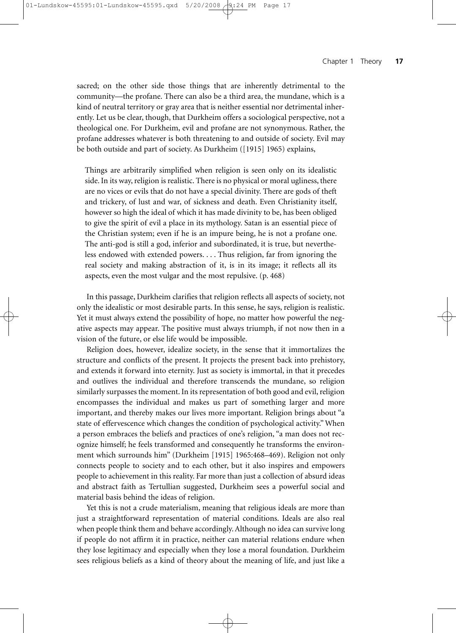sacred; on the other side those things that are inherently detrimental to the community—the profane. There can also be a third area, the mundane, which is a kind of neutral territory or gray area that is neither essential nor detrimental inherently. Let us be clear, though, that Durkheim offers a sociological perspective, not a theological one. For Durkheim, evil and profane are not synonymous. Rather, the profane addresses whatever is both threatening to and outside of society. Evil may be both outside and part of society. As Durkheim ([1915] 1965) explains,

Things are arbitrarily simplified when religion is seen only on its idealistic side. In its way, religion is realistic. There is no physical or moral ugliness, there are no vices or evils that do not have a special divinity. There are gods of theft and trickery, of lust and war, of sickness and death. Even Christianity itself, however so high the ideal of which it has made divinity to be, has been obliged to give the spirit of evil a place in its mythology. Satan is an essential piece of the Christian system; even if he is an impure being, he is not a profane one. The anti-god is still a god, inferior and subordinated, it is true, but nevertheless endowed with extended powers. . . . Thus religion, far from ignoring the real society and making abstraction of it, is in its image; it reflects all its aspects, even the most vulgar and the most repulsive. (p. 468)

In this passage, Durkheim clarifies that religion reflects all aspects of society, not only the idealistic or most desirable parts. In this sense, he says, religion is realistic. Yet it must always extend the possibility of hope, no matter how powerful the negative aspects may appear. The positive must always triumph, if not now then in a vision of the future, or else life would be impossible.

Religion does, however, idealize society, in the sense that it immortalizes the structure and conflicts of the present. It projects the present back into prehistory, and extends it forward into eternity. Just as society is immortal, in that it precedes and outlives the individual and therefore transcends the mundane, so religion similarly surpasses the moment. In its representation of both good and evil, religion encompasses the individual and makes us part of something larger and more important, and thereby makes our lives more important. Religion brings about "a state of effervescence which changes the condition of psychological activity." When a person embraces the beliefs and practices of one's religion, "a man does not recognize himself; he feels transformed and consequently he transforms the environment which surrounds him" (Durkheim [1915] 1965:468–469). Religion not only connects people to society and to each other, but it also inspires and empowers people to achievement in this reality. Far more than just a collection of absurd ideas and abstract faith as Tertullian suggested, Durkheim sees a powerful social and material basis behind the ideas of religion.

Yet this is not a crude materialism, meaning that religious ideals are more than just a straightforward representation of material conditions. Ideals are also real when people think them and behave accordingly. Although no idea can survive long if people do not affirm it in practice, neither can material relations endure when they lose legitimacy and especially when they lose a moral foundation. Durkheim sees religious beliefs as a kind of theory about the meaning of life, and just like a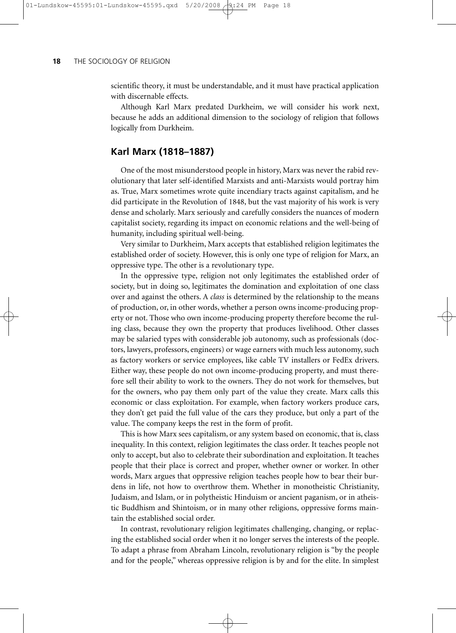scientific theory, it must be understandable, and it must have practical application with discernable effects.

Although Karl Marx predated Durkheim, we will consider his work next, because he adds an additional dimension to the sociology of religion that follows logically from Durkheim.

## **Karl Marx (1818–1887)**

One of the most misunderstood people in history, Marx was never the rabid revolutionary that later self-identified Marxists and anti-Marxists would portray him as. True, Marx sometimes wrote quite incendiary tracts against capitalism, and he did participate in the Revolution of 1848, but the vast majority of his work is very dense and scholarly. Marx seriously and carefully considers the nuances of modern capitalist society, regarding its impact on economic relations and the well-being of humanity, including spiritual well-being.

Very similar to Durkheim, Marx accepts that established religion legitimates the established order of society. However, this is only one type of religion for Marx, an oppressive type. The other is a revolutionary type.

In the oppressive type, religion not only legitimates the established order of society, but in doing so, legitimates the domination and exploitation of one class over and against the others. A *class* is determined by the relationship to the means of production, or, in other words, whether a person owns income-producing property or not. Those who own income-producing property therefore become the ruling class, because they own the property that produces livelihood. Other classes may be salaried types with considerable job autonomy, such as professionals (doctors, lawyers, professors, engineers) or wage earners with much less autonomy, such as factory workers or service employees, like cable TV installers or FedEx drivers. Either way, these people do not own income-producing property, and must therefore sell their ability to work to the owners. They do not work for themselves, but for the owners, who pay them only part of the value they create. Marx calls this economic or class exploitation. For example, when factory workers produce cars, they don't get paid the full value of the cars they produce, but only a part of the value. The company keeps the rest in the form of profit.

This is how Marx sees capitalism, or any system based on economic, that is, class inequality. In this context, religion legitimates the class order. It teaches people not only to accept, but also to celebrate their subordination and exploitation. It teaches people that their place is correct and proper, whether owner or worker. In other words, Marx argues that oppressive religion teaches people how to bear their burdens in life, not how to overthrow them. Whether in monotheistic Christianity, Judaism, and Islam, or in polytheistic Hinduism or ancient paganism, or in atheistic Buddhism and Shintoism, or in many other religions, oppressive forms maintain the established social order.

In contrast, revolutionary religion legitimates challenging, changing, or replacing the established social order when it no longer serves the interests of the people. To adapt a phrase from Abraham Lincoln, revolutionary religion is "by the people and for the people," whereas oppressive religion is by and for the elite. In simplest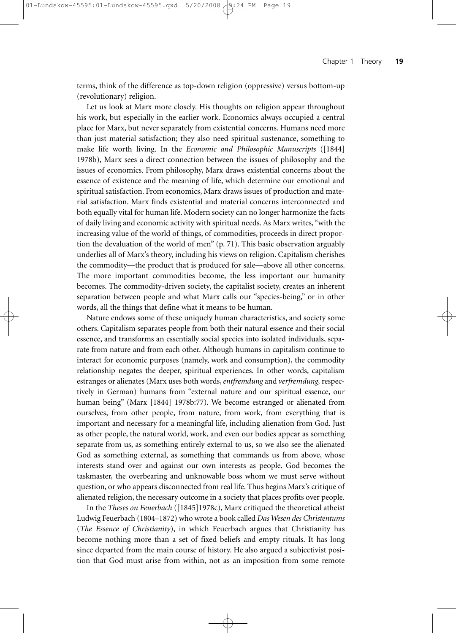terms, think of the difference as top-down religion (oppressive) versus bottom-up (revolutionary) religion.

Let us look at Marx more closely. His thoughts on religion appear throughout his work, but especially in the earlier work. Economics always occupied a central place for Marx, but never separately from existential concerns. Humans need more than just material satisfaction; they also need spiritual sustenance, something to make life worth living. In the *Economic and Philosophic Manuscripts* ([1844] 1978b), Marx sees a direct connection between the issues of philosophy and the issues of economics. From philosophy, Marx draws existential concerns about the essence of existence and the meaning of life, which determine our emotional and spiritual satisfaction. From economics, Marx draws issues of production and material satisfaction. Marx finds existential and material concerns interconnected and both equally vital for human life. Modern society can no longer harmonize the facts of daily living and economic activity with spiritual needs. As Marx writes, "with the increasing value of the world of things, of commodities, proceeds in direct proportion the devaluation of the world of men" (p. 71). This basic observation arguably underlies all of Marx's theory, including his views on religion. Capitalism cherishes the commodity—the product that is produced for sale—above all other concerns. The more important commodities become, the less important our humanity becomes. The commodity-driven society, the capitalist society, creates an inherent separation between people and what Marx calls our "species-being," or in other words, all the things that define what it means to be human.

Nature endows some of these uniquely human characteristics, and society some others. Capitalism separates people from both their natural essence and their social essence, and transforms an essentially social species into isolated individuals, separate from nature and from each other. Although humans in capitalism continue to interact for economic purposes (namely, work and consumption), the commodity relationship negates the deeper, spiritual experiences. In other words, capitalism estranges or alienates (Marx uses both words, *entfremdung* and *verfremdung,* respectively in German) humans from "external nature and our spiritual essence, our human being" (Marx [1844] 1978b:77). We become estranged or alienated from ourselves, from other people, from nature, from work, from everything that is important and necessary for a meaningful life, including alienation from God. Just as other people, the natural world, work, and even our bodies appear as something separate from us, as something entirely external to us, so we also see the alienated God as something external, as something that commands us from above, whose interests stand over and against our own interests as people. God becomes the taskmaster, the overbearing and unknowable boss whom we must serve without question, or who appears disconnected from real life. Thus begins Marx's critique of alienated religion, the necessary outcome in a society that places profits over people.

In the *Theses on Feuerbach* ([1845]1978c), Marx critiqued the theoretical atheist Ludwig Feuerbach (1804–1872) who wrote a book called *Das Wesen des Christentums* (*The Essence of Christianity*), in which Feuerbach argues that Christianity has become nothing more than a set of fixed beliefs and empty rituals. It has long since departed from the main course of history. He also argued a subjectivist position that God must arise from within, not as an imposition from some remote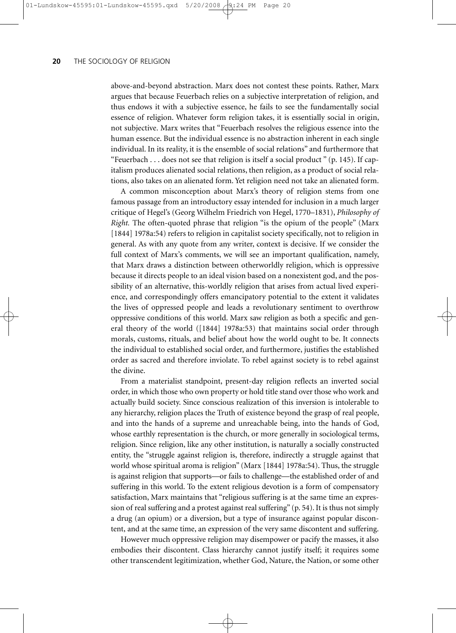above-and-beyond abstraction. Marx does not contest these points. Rather, Marx argues that because Feuerbach relies on a subjective interpretation of religion, and thus endows it with a subjective essence, he fails to see the fundamentally social essence of religion. Whatever form religion takes, it is essentially social in origin, not subjective. Marx writes that "Feuerbach resolves the religious essence into the human essence. But the individual essence is no abstraction inherent in each single individual. In its reality, it is the ensemble of social relations" and furthermore that "Feuerbach . . . does not see that religion is itself a social product " (p. 145). If capitalism produces alienated social relations, then religion, as a product of social relations, also takes on an alienated form. Yet religion need not take an alienated form.

A common misconception about Marx's theory of religion stems from one famous passage from an introductory essay intended for inclusion in a much larger critique of Hegel's (Georg Wilhelm Friedrich von Hegel, 1770–1831), *Philosophy of Right.* The often-quoted phrase that religion "is the opium of the people" (Marx [1844] 1978a:54) refers to religion in capitalist society specifically, not to religion in general. As with any quote from any writer, context is decisive. If we consider the full context of Marx's comments, we will see an important qualification, namely, that Marx draws a distinction between otherworldly religion, which is oppressive because it directs people to an ideal vision based on a nonexistent god, and the possibility of an alternative, this-worldly religion that arises from actual lived experience, and correspondingly offers emancipatory potential to the extent it validates the lives of oppressed people and leads a revolutionary sentiment to overthrow oppressive conditions of this world. Marx saw religion as both a specific and general theory of the world ([1844] 1978a:53) that maintains social order through morals, customs, rituals, and belief about how the world ought to be. It connects the individual to established social order, and furthermore, justifies the established order as sacred and therefore inviolate. To rebel against society is to rebel against the divine.

From a materialist standpoint, present-day religion reflects an inverted social order, in which those who own property or hold title stand over those who work and actually build society. Since conscious realization of this inversion is intolerable to any hierarchy, religion places the Truth of existence beyond the grasp of real people, and into the hands of a supreme and unreachable being, into the hands of God, whose earthly representation is the church, or more generally in sociological terms, religion. Since religion, like any other institution, is naturally a socially constructed entity, the "struggle against religion is, therefore, indirectly a struggle against that world whose spiritual aroma is religion" (Marx [1844] 1978a:54). Thus, the struggle is against religion that supports—or fails to challenge—the established order of and suffering in this world. To the extent religious devotion is a form of compensatory satisfaction, Marx maintains that "religious suffering is at the same time an expression of real suffering and a protest against real suffering" (p. 54). It is thus not simply a drug (an opium) or a diversion, but a type of insurance against popular discontent, and at the same time, an expression of the very same discontent and suffering.

However much oppressive religion may disempower or pacify the masses, it also embodies their discontent. Class hierarchy cannot justify itself; it requires some other transcendent legitimization, whether God, Nature, the Nation, or some other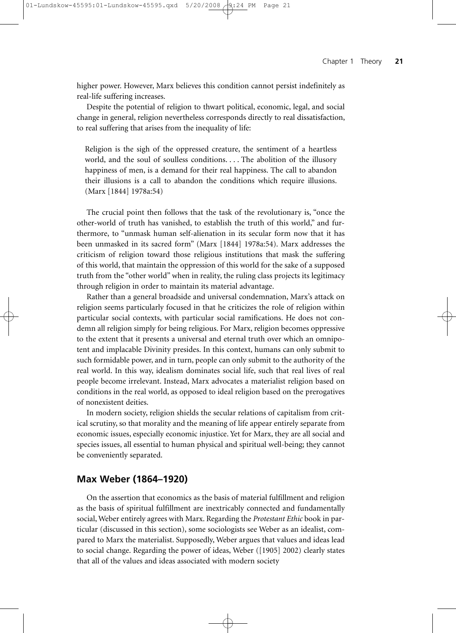higher power. However, Marx believes this condition cannot persist indefinitely as real-life suffering increases.

Despite the potential of religion to thwart political, economic, legal, and social change in general, religion nevertheless corresponds directly to real dissatisfaction, to real suffering that arises from the inequality of life:

Religion is the sigh of the oppressed creature, the sentiment of a heartless world, and the soul of soulless conditions. . . . The abolition of the illusory happiness of men, is a demand for their real happiness. The call to abandon their illusions is a call to abandon the conditions which require illusions. (Marx [1844] 1978a:54)

The crucial point then follows that the task of the revolutionary is, "once the other-world of truth has vanished, to establish the truth of this world," and furthermore, to "unmask human self-alienation in its secular form now that it has been unmasked in its sacred form" (Marx [1844] 1978a:54). Marx addresses the criticism of religion toward those religious institutions that mask the suffering of this world, that maintain the oppression of this world for the sake of a supposed truth from the "other world" when in reality, the ruling class projects its legitimacy through religion in order to maintain its material advantage.

Rather than a general broadside and universal condemnation, Marx's attack on religion seems particularly focused in that he criticizes the role of religion within particular social contexts, with particular social ramifications. He does not condemn all religion simply for being religious. For Marx, religion becomes oppressive to the extent that it presents a universal and eternal truth over which an omnipotent and implacable Divinity presides. In this context, humans can only submit to such formidable power, and in turn, people can only submit to the authority of the real world. In this way, idealism dominates social life, such that real lives of real people become irrelevant. Instead, Marx advocates a materialist religion based on conditions in the real world, as opposed to ideal religion based on the prerogatives of nonexistent deities.

In modern society, religion shields the secular relations of capitalism from critical scrutiny, so that morality and the meaning of life appear entirely separate from economic issues, especially economic injustice. Yet for Marx, they are all social and species issues, all essential to human physical and spiritual well-being; they cannot be conveniently separated.

## **Max Weber (1864–1920)**

On the assertion that economics as the basis of material fulfillment and religion as the basis of spiritual fulfillment are inextricably connected and fundamentally social, Weber entirely agrees with Marx. Regarding the *Protestant Ethic* book in particular (discussed in this section), some sociologists see Weber as an idealist, compared to Marx the materialist. Supposedly, Weber argues that values and ideas lead to social change. Regarding the power of ideas, Weber ([1905] 2002) clearly states that all of the values and ideas associated with modern society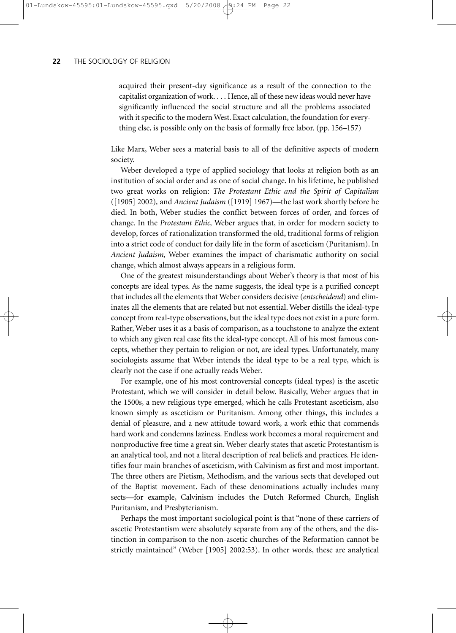acquired their present-day significance as a result of the connection to the capitalist organization of work. . . . Hence, all of these new ideas would never have significantly influenced the social structure and all the problems associated with it specific to the modern West. Exact calculation, the foundation for everything else, is possible only on the basis of formally free labor. (pp. 156–157)

Like Marx, Weber sees a material basis to all of the definitive aspects of modern society.

Weber developed a type of applied sociology that looks at religion both as an institution of social order and as one of social change. In his lifetime, he published two great works on religion: *The Protestant Ethic and the Spirit of Capitalism* ([1905] 2002)*,* and *Ancient Judaism* ([1919] 1967)—the last work shortly before he died. In both, Weber studies the conflict between forces of order, and forces of change. In the *Protestant Ethic,* Weber argues that, in order for modern society to develop, forces of rationalization transformed the old, traditional forms of religion into a strict code of conduct for daily life in the form of asceticism (Puritanism). In *Ancient Judaism,* Weber examines the impact of charismatic authority on social change, which almost always appears in a religious form.

One of the greatest misunderstandings about Weber's theory is that most of his concepts are ideal types. As the name suggests, the ideal type is a purified concept that includes all the elements that Weber considers decisive (*entscheidend*) and eliminates all the elements that are related but not essential. Weber distills the ideal-type concept from real-type observations, but the ideal type does not exist in a pure form. Rather, Weber uses it as a basis of comparison, as a touchstone to analyze the extent to which any given real case fits the ideal-type concept. All of his most famous concepts, whether they pertain to religion or not, are ideal types. Unfortunately, many sociologists assume that Weber intends the ideal type to be a real type, which is clearly not the case if one actually reads Weber.

For example, one of his most controversial concepts (ideal types) is the ascetic Protestant, which we will consider in detail below. Basically, Weber argues that in the 1500s, a new religious type emerged, which he calls Protestant asceticism, also known simply as asceticism or Puritanism. Among other things, this includes a denial of pleasure, and a new attitude toward work, a work ethic that commends hard work and condemns laziness. Endless work becomes a moral requirement and nonproductive free time a great sin. Weber clearly states that ascetic Protestantism is an analytical tool, and not a literal description of real beliefs and practices. He identifies four main branches of asceticism, with Calvinism as first and most important. The three others are Pietism, Methodism, and the various sects that developed out of the Baptist movement. Each of these denominations actually includes many sects—for example, Calvinism includes the Dutch Reformed Church, English Puritanism, and Presbyterianism.

Perhaps the most important sociological point is that "none of these carriers of ascetic Protestantism were absolutely separate from any of the others, and the distinction in comparison to the non-ascetic churches of the Reformation cannot be strictly maintained" (Weber [1905] 2002:53). In other words, these are analytical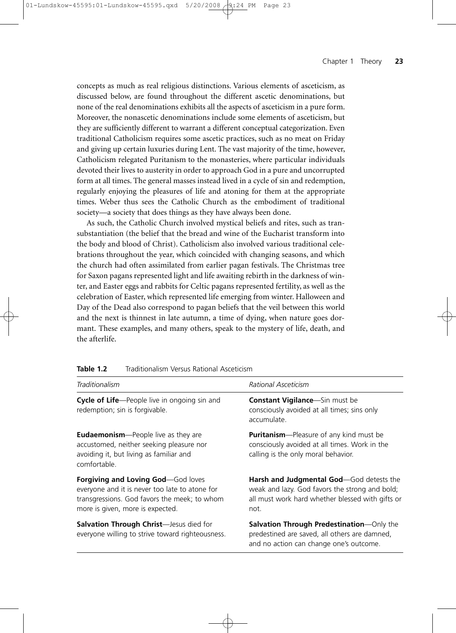concepts as much as real religious distinctions. Various elements of asceticism, as discussed below, are found throughout the different ascetic denominations, but none of the real denominations exhibits all the aspects of asceticism in a pure form. Moreover, the nonascetic denominations include some elements of asceticism, but they are sufficiently different to warrant a different conceptual categorization. Even traditional Catholicism requires some ascetic practices, such as no meat on Friday and giving up certain luxuries during Lent. The vast majority of the time, however, Catholicism relegated Puritanism to the monasteries, where particular individuals devoted their lives to austerity in order to approach God in a pure and uncorrupted form at all times. The general masses instead lived in a cycle of sin and redemption, regularly enjoying the pleasures of life and atoning for them at the appropriate times. Weber thus sees the Catholic Church as the embodiment of traditional society—a society that does things as they have always been done.

As such, the Catholic Church involved mystical beliefs and rites, such as transubstantiation (the belief that the bread and wine of the Eucharist transform into the body and blood of Christ). Catholicism also involved various traditional celebrations throughout the year, which coincided with changing seasons, and which the church had often assimilated from earlier pagan festivals. The Christmas tree for Saxon pagans represented light and life awaiting rebirth in the darkness of winter, and Easter eggs and rabbits for Celtic pagans represented fertility, as well as the celebration of Easter, which represented life emerging from winter. Halloween and Day of the Dead also correspond to pagan beliefs that the veil between this world and the next is thinnest in late autumn, a time of dying, when nature goes dormant. These examples, and many others, speak to the mystery of life, death, and the afterlife.

| Traditionalism                                                                                                                                                           | Rational Asceticism                                                                                                                                    |
|--------------------------------------------------------------------------------------------------------------------------------------------------------------------------|--------------------------------------------------------------------------------------------------------------------------------------------------------|
| <b>Cycle of Life</b> —People live in ongoing sin and<br>redemption; sin is forgivable.                                                                                   | <b>Constant Vigilance</b> —Sin must be<br>consciously avoided at all times; sins only<br>accumulate.                                                   |
| <b>Eudaemonism</b> —People live as they are<br>accustomed, neither seeking pleasure nor<br>avoiding it, but living as familiar and<br>comfortable.                       | <b>Puritanism</b> —Pleasure of any kind must be<br>consciously avoided at all times. Work in the<br>calling is the only moral behavior.                |
| Forgiving and Loving God-God loves<br>everyone and it is never too late to atone for<br>transgressions. God favors the meek; to whom<br>more is given, more is expected. | Harsh and Judgmental God-God detests the<br>weak and lazy. God favors the strong and bold;<br>all must work hard whether blessed with gifts or<br>not. |
| <b>Salvation Through Christ</b> —Jesus died for<br>everyone willing to strive toward righteousness.                                                                      | Salvation Through Predestination-Only the<br>predestined are saved, all others are damned,<br>and no action can change one's outcome.                  |

#### **Table 1.2** Traditionalism Versus Rational Asceticism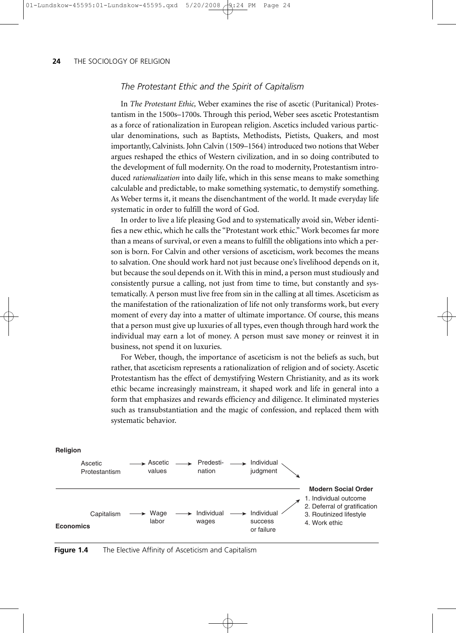## *The Protestant Ethic and the Spirit of Capitalism*

In *The Protestant Ethic,* Weber examines the rise of ascetic (Puritanical) Protestantism in the 1500s–1700s. Through this period, Weber sees ascetic Protestantism as a force of rationalization in European religion. Ascetics included various particular denominations, such as Baptists, Methodists, Pietists, Quakers, and most importantly, Calvinists. John Calvin (1509–1564) introduced two notions that Weber argues reshaped the ethics of Western civilization, and in so doing contributed to the development of full modernity. On the road to modernity, Protestantism introduced *rationalization* into daily life, which in this sense means to make something calculable and predictable, to make something systematic, to demystify something. As Weber terms it, it means the disenchantment of the world. It made everyday life systematic in order to fulfill the word of God.

In order to live a life pleasing God and to systematically avoid sin, Weber identifies a new ethic, which he calls the "Protestant work ethic." Work becomes far more than a means of survival, or even a means to fulfill the obligations into which a person is born. For Calvin and other versions of asceticism, work becomes the means to salvation. One should work hard not just because one's livelihood depends on it, but because the soul depends on it. With this in mind, a person must studiously and consistently pursue a calling, not just from time to time, but constantly and systematically. A person must live free from sin in the calling at all times. Asceticism as the manifestation of the rationalization of life not only transforms work, but every moment of every day into a matter of ultimate importance. Of course, this means that a person must give up luxuries of all types, even though through hard work the individual may earn a lot of money. A person must save money or reinvest it in business, not spend it on luxuries.

For Weber, though, the importance of asceticism is not the beliefs as such, but rather, that asceticism represents a rationalization of religion and of society. Ascetic Protestantism has the effect of demystifying Western Christianity, and as its work ethic became increasingly mainstream, it shaped work and life in general into a form that emphasizes and rewards efficiency and diligence. It eliminated mysteries such as transubstantiation and the magic of confession, and replaced them with systematic behavior.



**Figure 1.4** The Elective Affinity of Asceticism and Capitalism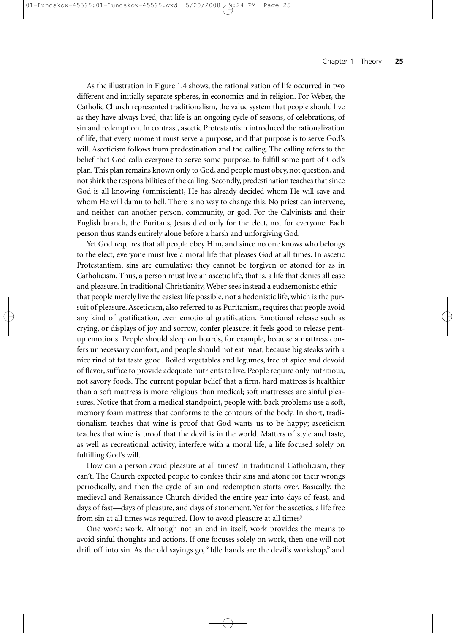As the illustration in Figure 1.4 shows, the rationalization of life occurred in two different and initially separate spheres, in economics and in religion. For Weber, the Catholic Church represented traditionalism, the value system that people should live as they have always lived, that life is an ongoing cycle of seasons, of celebrations, of sin and redemption. In contrast, ascetic Protestantism introduced the rationalization of life, that every moment must serve a purpose, and that purpose is to serve God's will. Asceticism follows from predestination and the calling. The calling refers to the belief that God calls everyone to serve some purpose, to fulfill some part of God's plan. This plan remains known only to God, and people must obey, not question, and not shirk the responsibilities of the calling. Secondly, predestination teaches that since God is all-knowing (omniscient), He has already decided whom He will save and whom He will damn to hell. There is no way to change this. No priest can intervene, and neither can another person, community, or god. For the Calvinists and their English branch, the Puritans, Jesus died only for the elect, not for everyone. Each person thus stands entirely alone before a harsh and unforgiving God.

Yet God requires that all people obey Him, and since no one knows who belongs to the elect, everyone must live a moral life that pleases God at all times. In ascetic Protestantism, sins are cumulative; they cannot be forgiven or atoned for as in Catholicism. Thus, a person must live an ascetic life, that is, a life that denies all ease and pleasure. In traditional Christianity, Weber sees instead a eudaemonistic ethic that people merely live the easiest life possible, not a hedonistic life, which is the pursuit of pleasure. Asceticism, also referred to as Puritanism, requires that people avoid any kind of gratification, even emotional gratification. Emotional release such as crying, or displays of joy and sorrow, confer pleasure; it feels good to release pentup emotions. People should sleep on boards, for example, because a mattress confers unnecessary comfort, and people should not eat meat, because big steaks with a nice rind of fat taste good. Boiled vegetables and legumes, free of spice and devoid of flavor, suffice to provide adequate nutrients to live. People require only nutritious, not savory foods. The current popular belief that a firm, hard mattress is healthier than a soft mattress is more religious than medical; soft mattresses are sinful pleasures. Notice that from a medical standpoint, people with back problems use a soft, memory foam mattress that conforms to the contours of the body. In short, traditionalism teaches that wine is proof that God wants us to be happy; asceticism teaches that wine is proof that the devil is in the world. Matters of style and taste, as well as recreational activity, interfere with a moral life, a life focused solely on fulfilling God's will.

How can a person avoid pleasure at all times? In traditional Catholicism, they can't. The Church expected people to confess their sins and atone for their wrongs periodically, and then the cycle of sin and redemption starts over. Basically, the medieval and Renaissance Church divided the entire year into days of feast, and days of fast—days of pleasure, and days of atonement. Yet for the ascetics, a life free from sin at all times was required. How to avoid pleasure at all times?

One word: work. Although not an end in itself, work provides the means to avoid sinful thoughts and actions. If one focuses solely on work, then one will not drift off into sin. As the old sayings go, "Idle hands are the devil's workshop," and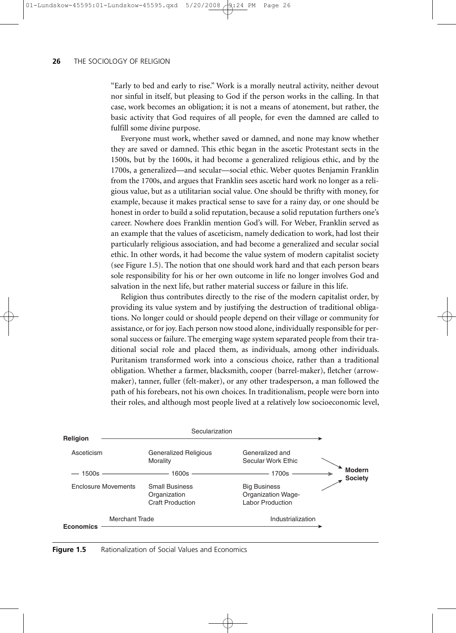"Early to bed and early to rise." Work is a morally neutral activity, neither devout nor sinful in itself, but pleasing to God if the person works in the calling. In that case, work becomes an obligation; it is not a means of atonement, but rather, the basic activity that God requires of all people, for even the damned are called to fulfill some divine purpose.

Everyone must work, whether saved or damned, and none may know whether they are saved or damned. This ethic began in the ascetic Protestant sects in the 1500s, but by the 1600s, it had become a generalized religious ethic, and by the 1700s, a generalized—and secular—social ethic. Weber quotes Benjamin Franklin from the 1700s, and argues that Franklin sees ascetic hard work no longer as a religious value, but as a utilitarian social value. One should be thrifty with money, for example, because it makes practical sense to save for a rainy day, or one should be honest in order to build a solid reputation, because a solid reputation furthers one's career. Nowhere does Franklin mention God's will. For Weber, Franklin served as an example that the values of asceticism, namely dedication to work, had lost their particularly religious association, and had become a generalized and secular social ethic. In other words, it had become the value system of modern capitalist society (see Figure 1.5). The notion that one should work hard and that each person bears sole responsibility for his or her own outcome in life no longer involves God and salvation in the next life, but rather material success or failure in this life.

Religion thus contributes directly to the rise of the modern capitalist order, by providing its value system and by justifying the destruction of traditional obligations. No longer could or should people depend on their village or community for assistance, or for joy. Each person now stood alone, individually responsible for personal success or failure. The emerging wage system separated people from their traditional social role and placed them, as individuals, among other individuals. Puritanism transformed work into a conscious choice, rather than a traditional obligation. Whether a farmer, blacksmith, cooper (barrel-maker), fletcher (arrowmaker), tanner, fuller (felt-maker), or any other tradesperson, a man followed the path of his forebears, not his own choices. In traditionalism, people were born into their roles, and although most people lived at a relatively low socioeconomic level,



#### **Figure 1.5** Rationalization of Social Values and Economics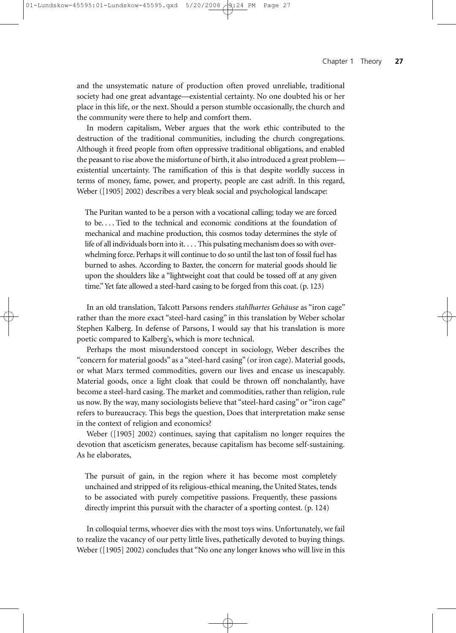and the unsystematic nature of production often proved unreliable, traditional society had one great advantage—existential certainty. No one doubted his or her place in this life, or the next. Should a person stumble occasionally, the church and the community were there to help and comfort them.

In modern capitalism, Weber argues that the work ethic contributed to the destruction of the traditional communities, including the church congregations. Although it freed people from often oppressive traditional obligations, and enabled the peasant to rise above the misfortune of birth, it also introduced a great problem existential uncertainty. The ramification of this is that despite worldly success in terms of money, fame, power, and property, people are cast adrift. In this regard, Weber ([1905] 2002) describes a very bleak social and psychological landscape:

The Puritan wanted to be a person with a vocational calling; today we are forced to be. . . . Tied to the technical and economic conditions at the foundation of mechanical and machine production, this cosmos today determines the style of life of all individuals born into it....This pulsating mechanism does so with overwhelming force. Perhaps it will continue to do so until the last ton of fossil fuel has burned to ashes. According to Baxter, the concern for material goods should lie upon the shoulders like a "lightweight coat that could be tossed off at any given time." Yet fate allowed a steel-hard casing to be forged from this coat. (p. 123)

In an old translation, Talcott Parsons renders *stahlhartes Gehäuse* as "iron cage" rather than the more exact "steel-hard casing" in this translation by Weber scholar Stephen Kalberg. In defense of Parsons, I would say that his translation is more poetic compared to Kalberg's, which is more technical.

Perhaps the most misunderstood concept in sociology, Weber describes the "concern for material goods" as a "steel-hard casing" (or iron cage). Material goods, or what Marx termed commodities, govern our lives and encase us inescapably. Material goods, once a light cloak that could be thrown off nonchalantly, have become a steel-hard casing. The market and commodities, rather than religion, rule us now. By the way, many sociologists believe that "steel-hard casing" or "iron cage" refers to bureaucracy. This begs the question, Does that interpretation make sense in the context of religion and economics?

Weber ([1905] 2002) continues, saying that capitalism no longer requires the devotion that asceticism generates, because capitalism has become self-sustaining. As he elaborates,

The pursuit of gain, in the region where it has become most completely unchained and stripped of its religious-ethical meaning, the United States, tends to be associated with purely competitive passions. Frequently, these passions directly imprint this pursuit with the character of a sporting contest. (p. 124)

In colloquial terms, whoever dies with the most toys wins. Unfortunately, we fail to realize the vacancy of our petty little lives, pathetically devoted to buying things. Weber ([1905] 2002) concludes that "No one any longer knows who will live in this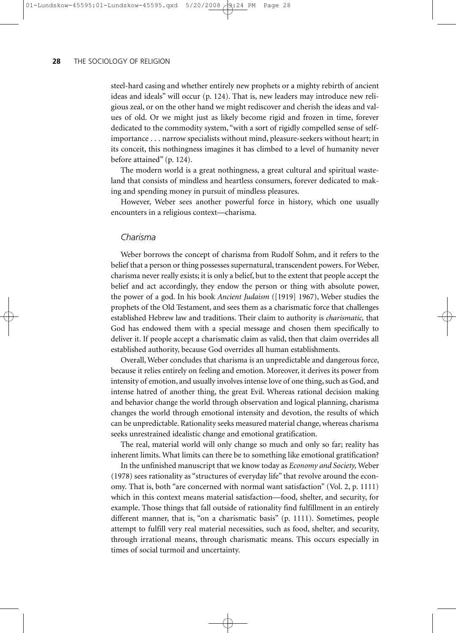steel-hard casing and whether entirely new prophets or a mighty rebirth of ancient ideas and ideals" will occur (p. 124). That is, new leaders may introduce new religious zeal, or on the other hand we might rediscover and cherish the ideas and values of old. Or we might just as likely become rigid and frozen in time, forever dedicated to the commodity system, "with a sort of rigidly compelled sense of selfimportance . . . narrow specialists without mind, pleasure-seekers without heart; in its conceit, this nothingness imagines it has climbed to a level of humanity never before attained" (p. 124).

The modern world is a great nothingness, a great cultural and spiritual wasteland that consists of mindless and heartless consumers, forever dedicated to making and spending money in pursuit of mindless pleasures.

However, Weber sees another powerful force in history, which one usually encounters in a religious context—charisma.

#### *Charisma*

Weber borrows the concept of charisma from Rudolf Sohm, and it refers to the belief that a person or thing possesses supernatural, transcendent powers. For Weber, charisma never really exists; it is only a belief, but to the extent that people accept the belief and act accordingly, they endow the person or thing with absolute power, the power of a god. In his book *Ancient Judaism* ([1919] 1967), Weber studies the prophets of the Old Testament, and sees them as a charismatic force that challenges established Hebrew law and traditions. Their claim to authority is *charismatic,* that God has endowed them with a special message and chosen them specifically to deliver it. If people accept a charismatic claim as valid, then that claim overrides all established authority, because God overrides all human establishments.

Overall, Weber concludes that charisma is an unpredictable and dangerous force, because it relies entirely on feeling and emotion. Moreover, it derives its power from intensity of emotion, and usually involves intense love of one thing, such as God, and intense hatred of another thing, the great Evil. Whereas rational decision making and behavior change the world through observation and logical planning, charisma changes the world through emotional intensity and devotion, the results of which can be unpredictable. Rationality seeks measured material change, whereas charisma seeks unrestrained idealistic change and emotional gratification.

The real, material world will only change so much and only so far; reality has inherent limits. What limits can there be to something like emotional gratification?

In the unfinished manuscript that we know today as *Economy and Society,* Weber (1978) sees rationality as "structures of everyday life" that revolve around the economy. That is, both "are concerned with normal want satisfaction" (Vol. 2, p. 1111) which in this context means material satisfaction—food, shelter, and security, for example. Those things that fall outside of rationality find fulfillment in an entirely different manner, that is, "on a charismatic basis" (p. 1111). Sometimes, people attempt to fulfill very real material necessities, such as food, shelter, and security, through irrational means, through charismatic means. This occurs especially in times of social turmoil and uncertainty.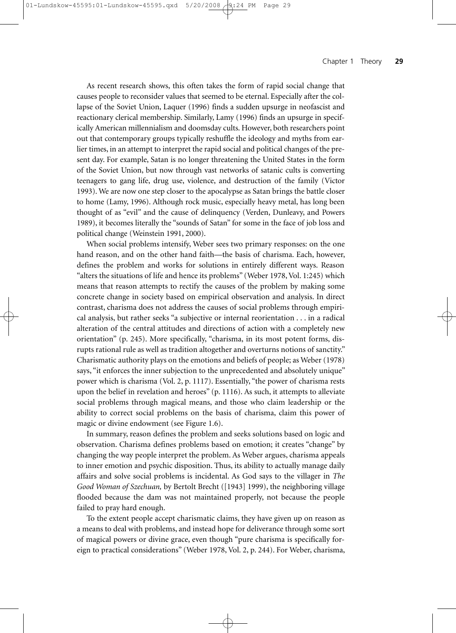As recent research shows, this often takes the form of rapid social change that causes people to reconsider values that seemed to be eternal. Especially after the collapse of the Soviet Union, Laquer (1996) finds a sudden upsurge in neofascist and reactionary clerical membership. Similarly, Lamy (1996) finds an upsurge in specifically American millennialism and doomsday cults. However, both researchers point out that contemporary groups typically reshuffle the ideology and myths from earlier times, in an attempt to interpret the rapid social and political changes of the present day. For example, Satan is no longer threatening the United States in the form of the Soviet Union, but now through vast networks of satanic cults is converting teenagers to gang life, drug use, violence, and destruction of the family (Victor 1993). We are now one step closer to the apocalypse as Satan brings the battle closer to home (Lamy, 1996). Although rock music, especially heavy metal, has long been thought of as "evil" and the cause of delinquency (Verden, Dunleavy, and Powers 1989), it becomes literally the "sounds of Satan" for some in the face of job loss and political change (Weinstein 1991, 2000).

When social problems intensify, Weber sees two primary responses: on the one hand reason, and on the other hand faith—the basis of charisma. Each, however, defines the problem and works for solutions in entirely different ways. Reason "alters the situations of life and hence its problems" (Weber 1978, Vol. 1:245) which means that reason attempts to rectify the causes of the problem by making some concrete change in society based on empirical observation and analysis. In direct contrast, charisma does not address the causes of social problems through empirical analysis, but rather seeks "a subjective or internal reorientation . . . in a radical alteration of the central attitudes and directions of action with a completely new orientation" (p. 245). More specifically, "charisma, in its most potent forms, disrupts rational rule as well as tradition altogether and overturns notions of sanctity." Charismatic authority plays on the emotions and beliefs of people; as Weber (1978) says, "it enforces the inner subjection to the unprecedented and absolutely unique" power which is charisma (Vol. 2, p. 1117). Essentially, "the power of charisma rests upon the belief in revelation and heroes" (p. 1116). As such, it attempts to alleviate social problems through magical means, and those who claim leadership or the ability to correct social problems on the basis of charisma, claim this power of magic or divine endowment (see Figure 1.6).

In summary, reason defines the problem and seeks solutions based on logic and observation. Charisma defines problems based on emotion; it creates "change" by changing the way people interpret the problem. As Weber argues, charisma appeals to inner emotion and psychic disposition. Thus, its ability to actually manage daily affairs and solve social problems is incidental. As God says to the villager in *The Good Woman of Szechuan,* by Bertolt Brecht ([1943] 1999), the neighboring village flooded because the dam was not maintained properly, not because the people failed to pray hard enough.

To the extent people accept charismatic claims, they have given up on reason as a means to deal with problems, and instead hope for deliverance through some sort of magical powers or divine grace, even though "pure charisma is specifically foreign to practical considerations" (Weber 1978, Vol. 2, p. 244). For Weber, charisma,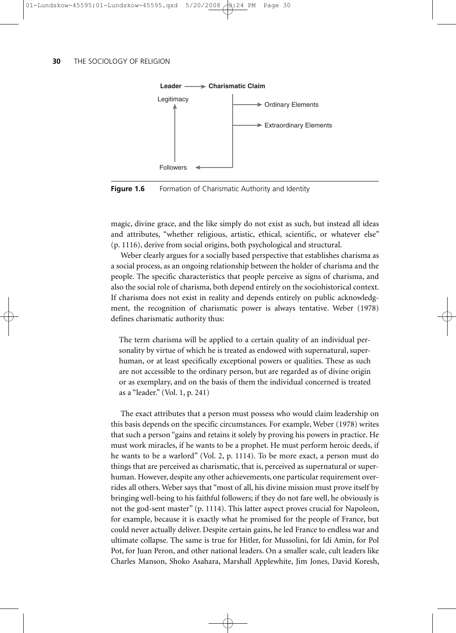

**Figure 1.6** Formation of Charismatic Authority and Identity

magic, divine grace, and the like simply do not exist as such, but instead all ideas and attributes, "whether religious, artistic, ethical, scientific, or whatever else" (p. 1116), derive from social origins, both psychological and structural.

Weber clearly argues for a socially based perspective that establishes charisma as a social process, as an ongoing relationship between the holder of charisma and the people. The specific characteristics that people perceive as signs of charisma, and also the social role of charisma, both depend entirely on the sociohistorical context. If charisma does not exist in reality and depends entirely on public acknowledgment, the recognition of charismatic power is always tentative. Weber (1978) defines charismatic authority thus:

The term charisma will be applied to a certain quality of an individual personality by virtue of which he is treated as endowed with supernatural, superhuman, or at least specifically exceptional powers or qualities. These as such are not accessible to the ordinary person, but are regarded as of divine origin or as exemplary, and on the basis of them the individual concerned is treated as a "leader." (Vol. 1, p. 241)

The exact attributes that a person must possess who would claim leadership on this basis depends on the specific circumstances. For example, Weber (1978) writes that such a person "gains and retains it solely by proving his powers in practice. He must work miracles, if he wants to be a prophet. He must perform heroic deeds, if he wants to be a warlord" (Vol. 2, p. 1114). To be more exact, a person must do things that are perceived as charismatic, that is, perceived as supernatural or superhuman. However, despite any other achievements, one particular requirement overrides all others. Weber says that "most of all, his divine mission must prove itself by bringing well-being to his faithful followers; if they do not fare well, he obviously is not the god-sent master" (p. 1114). This latter aspect proves crucial for Napoleon, for example, because it is exactly what he promised for the people of France, but could never actually deliver. Despite certain gains, he led France to endless war and ultimate collapse. The same is true for Hitler, for Mussolini, for Idi Amin, for Pol Pot, for Juan Peron, and other national leaders. On a smaller scale, cult leaders like Charles Manson, Shoko Asahara, Marshall Applewhite, Jim Jones, David Koresh,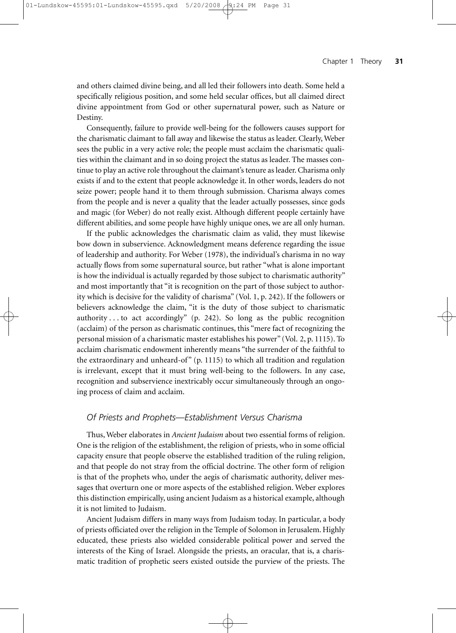and others claimed divine being, and all led their followers into death. Some held a specifically religious position, and some held secular offices, but all claimed direct divine appointment from God or other supernatural power, such as Nature or Destiny.

Consequently, failure to provide well-being for the followers causes support for the charismatic claimant to fall away and likewise the status as leader. Clearly, Weber sees the public in a very active role; the people must acclaim the charismatic qualities within the claimant and in so doing project the status as leader. The masses continue to play an active role throughout the claimant's tenure as leader. Charisma only exists if and to the extent that people acknowledge it. In other words, leaders do not seize power; people hand it to them through submission. Charisma always comes from the people and is never a quality that the leader actually possesses, since gods and magic (for Weber) do not really exist. Although different people certainly have different abilities, and some people have highly unique ones, we are all only human.

If the public acknowledges the charismatic claim as valid, they must likewise bow down in subservience. Acknowledgment means deference regarding the issue of leadership and authority. For Weber (1978), the individual's charisma in no way actually flows from some supernatural source, but rather "what is alone important is how the individual is actually regarded by those subject to charismatic authority" and most importantly that "it is recognition on the part of those subject to authority which is decisive for the validity of charisma" (Vol. 1, p. 242). If the followers or believers acknowledge the claim, "it is the duty of those subject to charismatic authority... to act accordingly" (p. 242). So long as the public recognition (acclaim) of the person as charismatic continues, this "mere fact of recognizing the personal mission of a charismatic master establishes his power" (Vol. 2, p. 1115). To acclaim charismatic endowment inherently means "the surrender of the faithful to the extraordinary and unheard-of" (p. 1115) to which all tradition and regulation is irrelevant, except that it must bring well-being to the followers. In any case, recognition and subservience inextricably occur simultaneously through an ongoing process of claim and acclaim.

#### *Of Priests and Prophets—Establishment Versus Charisma*

Thus, Weber elaborates in *Ancient Judaism* about two essential forms of religion. One is the religion of the establishment, the religion of priests, who in some official capacity ensure that people observe the established tradition of the ruling religion, and that people do not stray from the official doctrine. The other form of religion is that of the prophets who, under the aegis of charismatic authority, deliver messages that overturn one or more aspects of the established religion. Weber explores this distinction empirically, using ancient Judaism as a historical example, although it is not limited to Judaism.

Ancient Judaism differs in many ways from Judaism today. In particular, a body of priests officiated over the religion in the Temple of Solomon in Jerusalem. Highly educated, these priests also wielded considerable political power and served the interests of the King of Israel. Alongside the priests, an oracular, that is, a charismatic tradition of prophetic seers existed outside the purview of the priests. The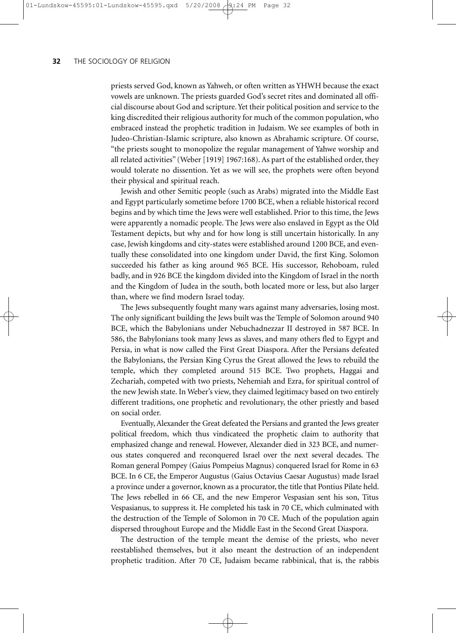priests served God, known as Yahweh, or often written as YHWH because the exact vowels are unknown. The priests guarded God's secret rites and dominated all official discourse about God and scripture. Yet their political position and service to the king discredited their religious authority for much of the common population, who embraced instead the prophetic tradition in Judaism. We see examples of both in Judeo-Christian-Islamic scripture, also known as Abrahamic scripture. Of course, "the priests sought to monopolize the regular management of Yahwe worship and all related activities" (Weber [1919] 1967:168). As part of the established order, they would tolerate no dissention. Yet as we will see, the prophets were often beyond their physical and spiritual reach.

Jewish and other Semitic people (such as Arabs) migrated into the Middle East and Egypt particularly sometime before 1700 BCE, when a reliable historical record begins and by which time the Jews were well established. Prior to this time, the Jews were apparently a nomadic people. The Jews were also enslaved in Egypt as the Old Testament depicts, but why and for how long is still uncertain historically. In any case, Jewish kingdoms and city-states were established around 1200 BCE, and eventually these consolidated into one kingdom under David, the first King. Solomon succeeded his father as king around 965 BCE. His successor, Rehoboam, ruled badly, and in 926 BCE the kingdom divided into the Kingdom of Israel in the north and the Kingdom of Judea in the south, both located more or less, but also larger than, where we find modern Israel today.

The Jews subsequently fought many wars against many adversaries, losing most. The only significant building the Jews built was the Temple of Solomon around 940 BCE, which the Babylonians under Nebuchadnezzar II destroyed in 587 BCE. In 586, the Babylonians took many Jews as slaves, and many others fled to Egypt and Persia, in what is now called the First Great Diaspora. After the Persians defeated the Babylonians, the Persian King Cyrus the Great allowed the Jews to rebuild the temple, which they completed around 515 BCE. Two prophets, Haggai and Zechariah, competed with two priests, Nehemiah and Ezra, for spiritual control of the new Jewish state. In Weber's view, they claimed legitimacy based on two entirely different traditions, one prophetic and revolutionary, the other priestly and based on social order.

Eventually, Alexander the Great defeated the Persians and granted the Jews greater political freedom, which thus vindicateed the prophetic claim to authority that emphasized change and renewal. However, Alexander died in 323 BCE, and numerous states conquered and reconquered Israel over the next several decades. The Roman general Pompey (Gaius Pompeius Magnus) conquered Israel for Rome in 63 BCE. In 6 CE, the Emperor Augustus (Gaius Octavius Caesar Augustus) made Israel a province under a governor, known as a procurator, the title that Pontius Pilate held. The Jews rebelled in 66 CE, and the new Emperor Vespasian sent his son, Titus Vespasianus, to suppress it. He completed his task in 70 CE, which culminated with the destruction of the Temple of Solomon in 70 CE. Much of the population again dispersed throughout Europe and the Middle East in the Second Great Diaspora.

The destruction of the temple meant the demise of the priests, who never reestablished themselves, but it also meant the destruction of an independent prophetic tradition. After 70 CE, Judaism became rabbinical, that is, the rabbis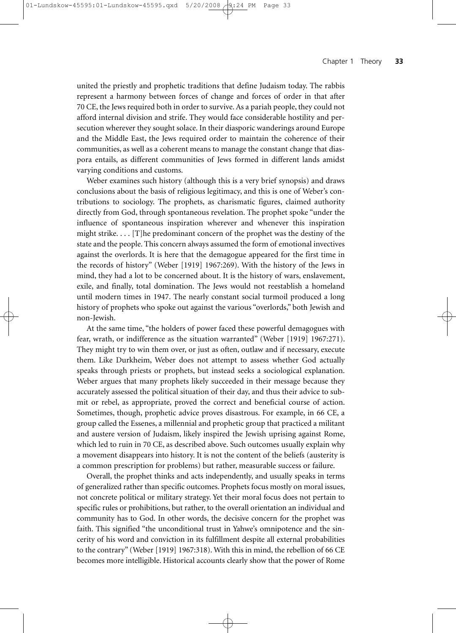united the priestly and prophetic traditions that define Judaism today. The rabbis represent a harmony between forces of change and forces of order in that after 70 CE, the Jews required both in order to survive. As a pariah people, they could not afford internal division and strife. They would face considerable hostility and persecution wherever they sought solace. In their diasporic wanderings around Europe and the Middle East, the Jews required order to maintain the coherence of their communities, as well as a coherent means to manage the constant change that diaspora entails, as different communities of Jews formed in different lands amidst varying conditions and customs.

Weber examines such history (although this is a very brief synopsis) and draws conclusions about the basis of religious legitimacy, and this is one of Weber's contributions to sociology. The prophets, as charismatic figures, claimed authority directly from God, through spontaneous revelation. The prophet spoke "under the influence of spontaneous inspiration wherever and whenever this inspiration might strike. . . . [T]he predominant concern of the prophet was the destiny of the state and the people. This concern always assumed the form of emotional invectives against the overlords. It is here that the demagogue appeared for the first time in the records of history" (Weber [1919] 1967:269). With the history of the Jews in mind, they had a lot to be concerned about. It is the history of wars, enslavement, exile, and finally, total domination. The Jews would not reestablish a homeland until modern times in 1947. The nearly constant social turmoil produced a long history of prophets who spoke out against the various "overlords," both Jewish and non-Jewish.

At the same time, "the holders of power faced these powerful demagogues with fear, wrath, or indifference as the situation warranted" (Weber [1919] 1967:271). They might try to win them over, or just as often, outlaw and if necessary, execute them. Like Durkheim, Weber does not attempt to assess whether God actually speaks through priests or prophets, but instead seeks a sociological explanation. Weber argues that many prophets likely succeeded in their message because they accurately assessed the political situation of their day, and thus their advice to submit or rebel, as appropriate, proved the correct and beneficial course of action. Sometimes, though, prophetic advice proves disastrous. For example, in 66 CE, a group called the Essenes, a millennial and prophetic group that practiced a militant and austere version of Judaism, likely inspired the Jewish uprising against Rome, which led to ruin in 70 CE, as described above. Such outcomes usually explain why a movement disappears into history. It is not the content of the beliefs (austerity is a common prescription for problems) but rather, measurable success or failure.

Overall, the prophet thinks and acts independently, and usually speaks in terms of generalized rather than specific outcomes. Prophets focus mostly on moral issues, not concrete political or military strategy. Yet their moral focus does not pertain to specific rules or prohibitions, but rather, to the overall orientation an individual and community has to God. In other words, the decisive concern for the prophet was faith. This signified "the unconditional trust in Yahwe's omnipotence and the sincerity of his word and conviction in its fulfillment despite all external probabilities to the contrary" (Weber [1919] 1967:318). With this in mind, the rebellion of 66 CE becomes more intelligible. Historical accounts clearly show that the power of Rome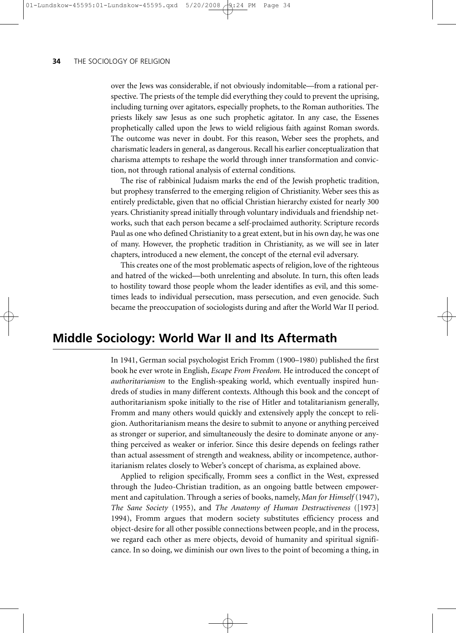over the Jews was considerable, if not obviously indomitable—from a rational perspective. The priests of the temple did everything they could to prevent the uprising, including turning over agitators, especially prophets, to the Roman authorities. The priests likely saw Jesus as one such prophetic agitator. In any case, the Essenes prophetically called upon the Jews to wield religious faith against Roman swords. The outcome was never in doubt. For this reason, Weber sees the prophets, and charismatic leaders in general, as dangerous. Recall his earlier conceptualization that charisma attempts to reshape the world through inner transformation and conviction, not through rational analysis of external conditions.

The rise of rabbinical Judaism marks the end of the Jewish prophetic tradition, but prophesy transferred to the emerging religion of Christianity. Weber sees this as entirely predictable, given that no official Christian hierarchy existed for nearly 300 years. Christianity spread initially through voluntary individuals and friendship networks, such that each person became a self-proclaimed authority. Scripture records Paul as one who defined Christianity to a great extent, but in his own day, he was one of many. However, the prophetic tradition in Christianity, as we will see in later chapters, introduced a new element, the concept of the eternal evil adversary.

This creates one of the most problematic aspects of religion, love of the righteous and hatred of the wicked—both unrelenting and absolute. In turn, this often leads to hostility toward those people whom the leader identifies as evil, and this sometimes leads to individual persecution, mass persecution, and even genocide. Such became the preoccupation of sociologists during and after the World War II period.

# **Middle Sociology: World War II and Its Aftermath**

In 1941, German social psychologist Erich Fromm (1900–1980) published the first book he ever wrote in English, *Escape From Freedom.* He introduced the concept of *authoritarianism* to the English-speaking world, which eventually inspired hundreds of studies in many different contexts. Although this book and the concept of authoritarianism spoke initially to the rise of Hitler and totalitarianism generally, Fromm and many others would quickly and extensively apply the concept to religion. Authoritarianism means the desire to submit to anyone or anything perceived as stronger or superior, and simultaneously the desire to dominate anyone or anything perceived as weaker or inferior. Since this desire depends on feelings rather than actual assessment of strength and weakness, ability or incompetence, authoritarianism relates closely to Weber's concept of charisma, as explained above.

Applied to religion specifically, Fromm sees a conflict in the West, expressed through the Judeo-Christian tradition, as an ongoing battle between empowerment and capitulation. Through a series of books, namely, *Man for Himself* (1947), *The Sane Society* (1955), and *The Anatomy of Human Destructiveness* ([1973] 1994), Fromm argues that modern society substitutes efficiency process and object-desire for all other possible connections between people, and in the process, we regard each other as mere objects, devoid of humanity and spiritual significance. In so doing, we diminish our own lives to the point of becoming a thing, in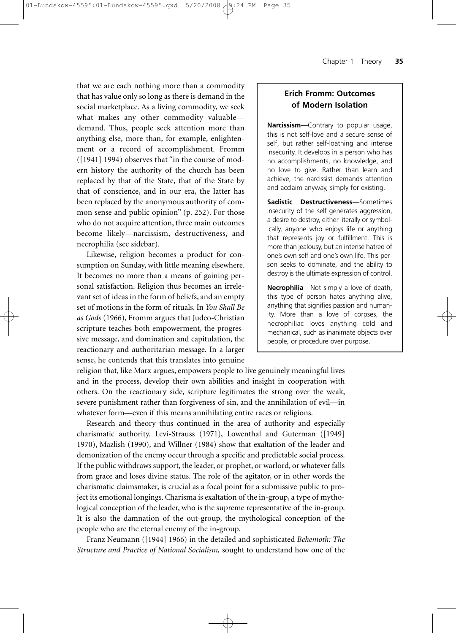that we are each nothing more than a commodity that has value only so long as there is demand in the social marketplace. As a living commodity, we seek what makes any other commodity valuable demand. Thus, people seek attention more than anything else, more than, for example, enlightenment or a record of accomplishment. Fromm ([1941] 1994) observes that "in the course of modern history the authority of the church has been replaced by that of the State, that of the State by that of conscience, and in our era, the latter has been replaced by the anonymous authority of common sense and public opinion" (p. 252). For those who do not acquire attention, three main outcomes become likely—narcissism, destructiveness, and necrophilia (see sidebar).

Likewise, religion becomes a product for consumption on Sunday, with little meaning elsewhere. It becomes no more than a means of gaining personal satisfaction. Religion thus becomes an irrelevant set of ideas in the form of beliefs, and an empty set of motions in the form of rituals. In *You Shall Be as Gods* (1966), Fromm argues that Judeo-Christian scripture teaches both empowerment, the progressive message, and domination and capitulation, the reactionary and authoritarian message. In a larger sense, he contends that this translates into genuine

# **Erich Fromm: Outcomes of Modern Isolation**

**Narcissism**—Contrary to popular usage, this is not self-love and a secure sense of self, but rather self-loathing and intense insecurity. It develops in a person who has no accomplishments, no knowledge, and no love to give. Rather than learn and achieve, the narcissist demands attention and acclaim anyway, simply for existing.

**Sadistic Destructiveness**—Sometimes insecurity of the self generates aggression, a desire to destroy, either literally or symbolically, anyone who enjoys life or anything that represents joy or fulfillment. This is more than jealousy, but an intense hatred of one's own self and one's own life. This person seeks to dominate, and the ability to destroy is the ultimate expression of control.

**Necrophilia**—Not simply a love of death, this type of person hates anything alive, anything that signifies passion and humanity. More than a love of corpses, the necrophiliac loves anything cold and mechanical, such as inanimate objects over people, or procedure over purpose.

religion that, like Marx argues, empowers people to live genuinely meaningful lives and in the process, develop their own abilities and insight in cooperation with others. On the reactionary side, scripture legitimates the strong over the weak, severe punishment rather than forgiveness of sin, and the annihilation of evil—in whatever form—even if this means annihilating entire races or religions.

Research and theory thus continued in the area of authority and especially charismatic authority. Levi-Strauss (1971), Lowenthal and Guterman ([1949] 1970), Mazlish (1990), and Willner (1984) show that exaltation of the leader and demonization of the enemy occur through a specific and predictable social process. If the public withdraws support, the leader, or prophet, or warlord, or whatever falls from grace and loses divine status. The role of the agitator, or in other words the charismatic claimsmaker, is crucial as a focal point for a submissive public to project its emotional longings. Charisma is exaltation of the in-group, a type of mythological conception of the leader, who is the supreme representative of the in-group. It is also the damnation of the out-group, the mythological conception of the people who are the eternal enemy of the in-group.

Franz Neumann ([1944] 1966) in the detailed and sophisticated *Behemoth: The Structure and Practice of National Socialism,* sought to understand how one of the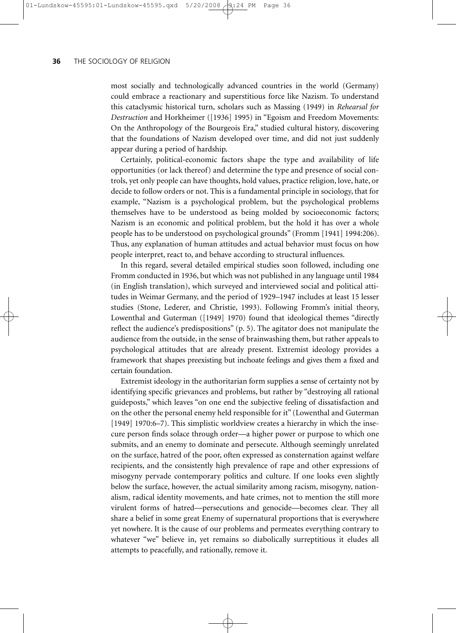most socially and technologically advanced countries in the world (Germany) could embrace a reactionary and superstitious force like Nazism. To understand this cataclysmic historical turn, scholars such as Massing (1949) in *Rehearsal for Destruction* and Horkheimer ([1936] 1995) in "Egoism and Freedom Movements: On the Anthropology of the Bourgeois Era," studied cultural history, discovering that the foundations of Nazism developed over time, and did not just suddenly appear during a period of hardship.

Certainly, political-economic factors shape the type and availability of life opportunities (or lack thereof) and determine the type and presence of social controls, yet only people can have thoughts, hold values, practice religion, love, hate, or decide to follow orders or not. This is a fundamental principle in sociology, that for example, "Nazism is a psychological problem, but the psychological problems themselves have to be understood as being molded by socioeconomic factors; Nazism is an economic and political problem, but the hold it has over a whole people has to be understood on psychological grounds" (Fromm [1941] 1994:206). Thus, any explanation of human attitudes and actual behavior must focus on how people interpret, react to, and behave according to structural influences.

In this regard, several detailed empirical studies soon followed, including one Fromm conducted in 1936, but which was not published in any language until 1984 (in English translation), which surveyed and interviewed social and political attitudes in Weimar Germany, and the period of 1929–1947 includes at least 15 lesser studies (Stone, Lederer, and Christie, 1993). Following Fromm's initial theory, Lowenthal and Guterman ([1949] 1970) found that ideological themes "directly reflect the audience's predispositions" (p. 5). The agitator does not manipulate the audience from the outside, in the sense of brainwashing them, but rather appeals to psychological attitudes that are already present. Extremist ideology provides a framework that shapes preexisting but inchoate feelings and gives them a fixed and certain foundation.

Extremist ideology in the authoritarian form supplies a sense of certainty not by identifying specific grievances and problems, but rather by "destroying all rational guideposts," which leaves "on one end the subjective feeling of dissatisfaction and on the other the personal enemy held responsible for it" (Lowenthal and Guterman [1949] 1970:6–7). This simplistic worldview creates a hierarchy in which the insecure person finds solace through order—a higher power or purpose to which one submits, and an enemy to dominate and persecute. Although seemingly unrelated on the surface, hatred of the poor, often expressed as consternation against welfare recipients, and the consistently high prevalence of rape and other expressions of misogyny pervade contemporary politics and culture. If one looks even slightly below the surface, however, the actual similarity among racism, misogyny, nationalism, radical identity movements, and hate crimes, not to mention the still more virulent forms of hatred—persecutions and genocide—becomes clear. They all share a belief in some great Enemy of supernatural proportions that is everywhere yet nowhere. It is the cause of our problems and permeates everything contrary to whatever "we" believe in, yet remains so diabolically surreptitious it eludes all attempts to peacefully, and rationally, remove it.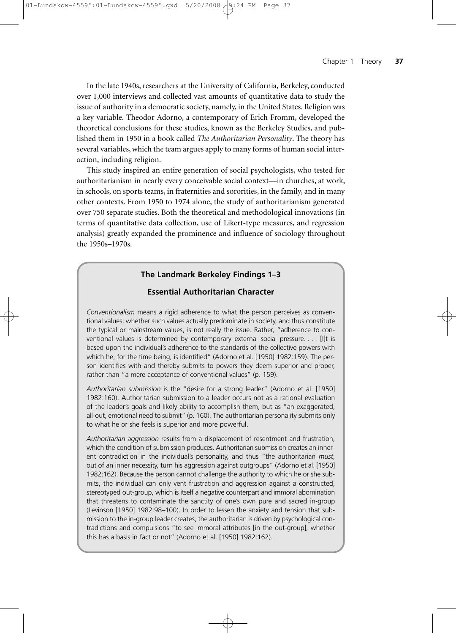In the late 1940s, researchers at the University of California, Berkeley, conducted over 1,000 interviews and collected vast amounts of quantitative data to study the issue of authority in a democratic society, namely, in the United States. Religion was a key variable. Theodor Adorno, a contemporary of Erich Fromm, developed the theoretical conclusions for these studies, known as the Berkeley Studies, and published them in 1950 in a book called *The Authoritarian Personality*. The theory has several variables, which the team argues apply to many forms of human social interaction, including religion.

This study inspired an entire generation of social psychologists, who tested for authoritarianism in nearly every conceivable social context—in churches, at work, in schools, on sports teams, in fraternities and sororities, in the family, and in many other contexts. From 1950 to 1974 alone, the study of authoritarianism generated over 750 separate studies. Both the theoretical and methodological innovations (in terms of quantitative data collection, use of Likert-type measures, and regression analysis) greatly expanded the prominence and influence of sociology throughout the 1950s–1970s.

## **The Landmark Berkeley Findings 1–3**

## **Essential Authoritarian Character**

*Conventionalism* means a rigid adherence to what the person perceives as conventional values; whether such values actually predominate in society, and thus constitute the typical or mainstream values, is not really the issue. Rather, "adherence to conventional values is determined by contemporary external social pressure. . . . [I]t is based upon the individual's adherence to the standards of the collective powers with which he, for the time being, is identified" (Adorno et al. [1950] 1982:159). The person identifies with and thereby submits to powers they deem superior and proper, rather than "a mere acceptance of conventional values" (p. 159).

*Authoritarian submission* is the "desire for a strong leader" (Adorno et al. [1950] 1982:160). Authoritarian submission to a leader occurs not as a rational evaluation of the leader's goals and likely ability to accomplish them, but as "an exaggerated, all-out, emotional need to submit" (p. 160). The authoritarian personality submits only to what he or she feels is superior and more powerful.

*Authoritarian aggression* results from a displacement of resentment and frustration, which the condition of submission produces. Authoritarian submission creates an inherent contradiction in the individual's personality, and thus "the authoritarian *must*, out of an inner necessity, turn his aggression against outgroups" (Adorno et al. [1950] 1982:162). Because the person cannot challenge the authority to which he or she submits, the individual can only vent frustration and aggression against a constructed, stereotyped out-group, which is itself a negative counterpart and immoral abomination that threatens to contaminate the sanctity of one's own pure and sacred in-group (Levinson [1950] 1982:98–100). In order to lessen the anxiety and tension that submission to the in-group leader creates, the authoritarian is driven by psychological contradictions and compulsions "to see immoral attributes [in the out-group], whether this has a basis in fact or not" (Adorno et al. [1950] 1982:162).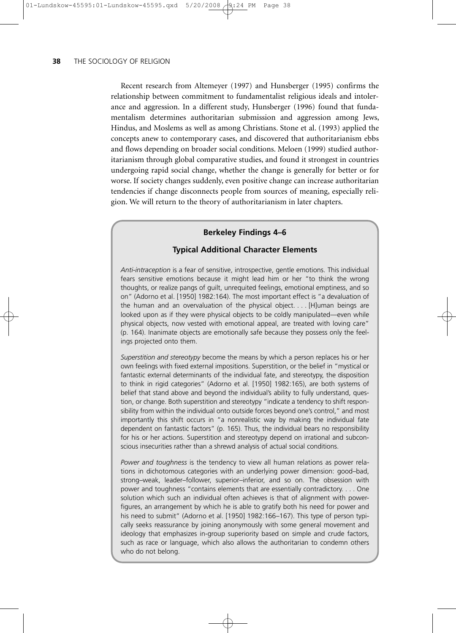Recent research from Altemeyer (1997) and Hunsberger (1995) confirms the relationship between commitment to fundamentalist religious ideals and intolerance and aggression. In a different study, Hunsberger (1996) found that fundamentalism determines authoritarian submission and aggression among Jews, Hindus, and Moslems as well as among Christians. Stone et al. (1993) applied the concepts anew to contemporary cases, and discovered that authoritarianism ebbs and flows depending on broader social conditions. Meloen (1999) studied authoritarianism through global comparative studies, and found it strongest in countries undergoing rapid social change, whether the change is generally for better or for worse. If society changes suddenly, even positive change can increase authoritarian tendencies if change disconnects people from sources of meaning, especially religion. We will return to the theory of authoritarianism in later chapters.

## **Berkeley Findings 4–6**

## **Typical Additional Character Elements**

*Anti-intraception* is a fear of sensitive, introspective, gentle emotions. This individual fears sensitive emotions because it might lead him or her "to think the wrong thoughts, or realize pangs of guilt, unrequited feelings, emotional emptiness, and so on" (Adorno et al. [1950] 1982:164). The most important effect is "a devaluation of the human and an overvaluation of the physical object.... [H]uman beings are looked upon as if they were physical objects to be coldly manipulated—even while physical objects, now vested with emotional appeal, are treated with loving care" (p. 164). Inanimate objects are emotionally safe because they possess only the feelings projected onto them.

*Superstition and stereotypy* become the means by which a person replaces his or her own feelings with fixed external impositions. Superstition, or the belief in "mystical or fantastic external determinants of the individual fate, and stereotypy, the disposition to think in rigid categories" (Adorno et al. [1950] 1982:165), are both systems of belief that stand above and beyond the individual's ability to fully understand, question, or change. Both superstition and stereotypy "indicate a tendency to shift responsibility from within the individual onto outside forces beyond one's control," and most importantly this shift occurs in "a nonrealistic way by making the individual fate dependent on fantastic factors" (p. 165). Thus, the individual bears no responsibility for his or her actions. Superstition and stereotypy depend on irrational and subconscious insecurities rather than a shrewd analysis of actual social conditions.

*Power and toughness* is the tendency to view all human relations as power relations in dichotomous categories with an underlying power dimension: good–bad, strong–weak, leader–follower, superior–inferior, and so on. The obsession with power and toughness "contains elements that are essentially contradictory. . . . One solution which such an individual often achieves is that of alignment with powerfigures, an arrangement by which he is able to gratify both his need for power and his need to submit" (Adorno et al. [1950] 1982:166-167). This type of person typically seeks reassurance by joining anonymously with some general movement and ideology that emphasizes in-group superiority based on simple and crude factors, such as race or language, which also allows the authoritarian to condemn others who do not belong.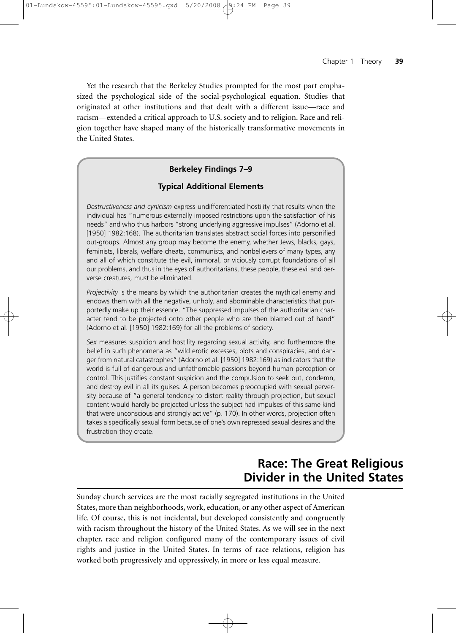Yet the research that the Berkeley Studies prompted for the most part emphasized the psychological side of the social-psychological equation. Studies that originated at other institutions and that dealt with a different issue—race and racism—extended a critical approach to U.S. society and to religion. Race and religion together have shaped many of the historically transformative movements in the United States.

#### **Berkeley Findings 7–9**

## **Typical Additional Elements**

*Destructiveness and cynicism* express undifferentiated hostility that results when the individual has "numerous externally imposed restrictions upon the satisfaction of his needs" and who thus harbors "strong underlying aggressive impulses" (Adorno et al. [1950] 1982:168). The authoritarian translates abstract social forces into personified out-groups. Almost any group may become the enemy, whether Jews, blacks, gays, feminists, liberals, welfare cheats, communists, and nonbelievers of many types, any and all of which constitute the evil, immoral, or viciously corrupt foundations of all our problems, and thus in the eyes of authoritarians, these people, these evil and perverse creatures, must be eliminated.

*Projectivity* is the means by which the authoritarian creates the mythical enemy and endows them with all the negative, unholy, and abominable characteristics that purportedly make up their essence. "The suppressed impulses of the authoritarian character tend to be projected onto other people who are then blamed out of hand" (Adorno et al. [1950] 1982:169) for all the problems of society.

*Sex* measures suspicion and hostility regarding sexual activity, and furthermore the belief in such phenomena as "wild erotic excesses, plots and conspiracies, and danger from natural catastrophes" (Adorno et al. [1950] 1982:169) as indicators that the world is full of dangerous and unfathomable passions beyond human perception or control. This justifies constant suspicion and the compulsion to seek out, condemn, and destroy evil in all its guises. A person becomes preoccupied with sexual perversity because of "a general tendency to distort reality through projection, but sexual content would hardly be projected unless the subject had impulses of this same kind that were unconscious and strongly active" (p. 170). In other words, projection often takes a specifically sexual form because of one's own repressed sexual desires and the frustration they create.

# **Race: The Great Religious Divider in the United States**

Sunday church services are the most racially segregated institutions in the United States, more than neighborhoods, work, education, or any other aspect of American life. Of course, this is not incidental, but developed consistently and congruently with racism throughout the history of the United States. As we will see in the next chapter, race and religion configured many of the contemporary issues of civil rights and justice in the United States. In terms of race relations, religion has worked both progressively and oppressively, in more or less equal measure.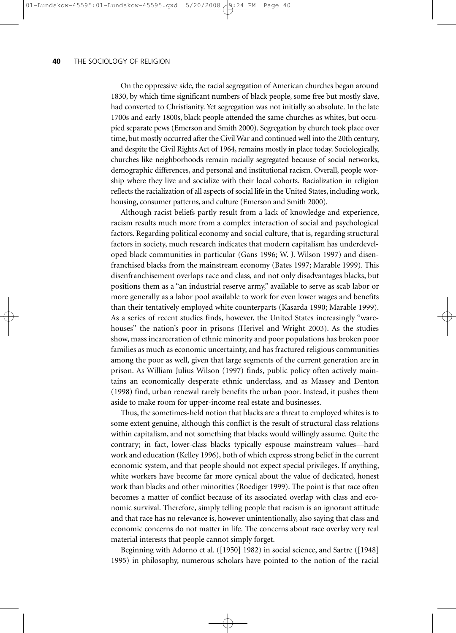On the oppressive side, the racial segregation of American churches began around 1830, by which time significant numbers of black people, some free but mostly slave, had converted to Christianity. Yet segregation was not initially so absolute. In the late 1700s and early 1800s, black people attended the same churches as whites, but occupied separate pews (Emerson and Smith 2000). Segregation by church took place over time, but mostly occurred after the Civil War and continued well into the 20th century, and despite the Civil Rights Act of 1964, remains mostly in place today. Sociologically, churches like neighborhoods remain racially segregated because of social networks, demographic differences, and personal and institutional racism. Overall, people worship where they live and socialize with their local cohorts. Racialization in religion reflects the racialization of all aspects of social life in the United States, including work, housing, consumer patterns, and culture (Emerson and Smith 2000).

Although racist beliefs partly result from a lack of knowledge and experience, racism results much more from a complex interaction of social and psychological factors. Regarding political economy and social culture, that is, regarding structural factors in society, much research indicates that modern capitalism has underdeveloped black communities in particular (Gans 1996; W. J. Wilson 1997) and disenfranchised blacks from the mainstream economy (Bates 1997; Marable 1999). This disenfranchisement overlaps race and class, and not only disadvantages blacks, but positions them as a "an industrial reserve army," available to serve as scab labor or more generally as a labor pool available to work for even lower wages and benefits than their tentatively employed white counterparts (Kasarda 1990; Marable 1999). As a series of recent studies finds, however, the United States increasingly "warehouses" the nation's poor in prisons (Herivel and Wright 2003). As the studies show, mass incarceration of ethnic minority and poor populations has broken poor families as much as economic uncertainty, and has fractured religious communities among the poor as well, given that large segments of the current generation are in prison. As William Julius Wilson (1997) finds, public policy often actively maintains an economically desperate ethnic underclass, and as Massey and Denton (1998) find, urban renewal rarely benefits the urban poor. Instead, it pushes them aside to make room for upper-income real estate and businesses.

Thus, the sometimes-held notion that blacks are a threat to employed whites is to some extent genuine, although this conflict is the result of structural class relations within capitalism, and not something that blacks would willingly assume. Quite the contrary; in fact, lower-class blacks typically espouse mainstream values—hard work and education (Kelley 1996), both of which express strong belief in the current economic system, and that people should not expect special privileges. If anything, white workers have become far more cynical about the value of dedicated, honest work than blacks and other minorities (Roediger 1999). The point is that race often becomes a matter of conflict because of its associated overlap with class and economic survival. Therefore, simply telling people that racism is an ignorant attitude and that race has no relevance is, however unintentionally, also saying that class and economic concerns do not matter in life. The concerns about race overlay very real material interests that people cannot simply forget.

Beginning with Adorno et al. ([1950] 1982) in social science, and Sartre ([1948] 1995) in philosophy, numerous scholars have pointed to the notion of the racial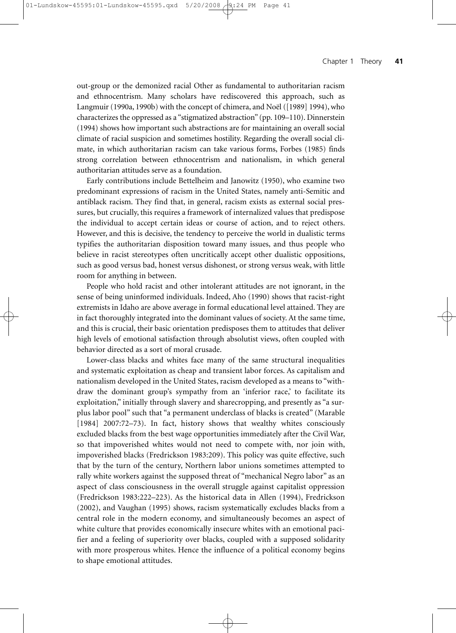out-group or the demonized racial Other as fundamental to authoritarian racism and ethnocentrism. Many scholars have rediscovered this approach, such as Langmuir (1990a, 1990b) with the concept of chimera, and Noël ([1989] 1994), who characterizes the oppressed as a "stigmatized abstraction" (pp. 109–110). Dinnerstein (1994) shows how important such abstractions are for maintaining an overall social climate of racial suspicion and sometimes hostility. Regarding the overall social climate, in which authoritarian racism can take various forms, Forbes (1985) finds strong correlation between ethnocentrism and nationalism, in which general authoritarian attitudes serve as a foundation.

Early contributions include Bettelheim and Janowitz (1950), who examine two predominant expressions of racism in the United States, namely anti-Semitic and antiblack racism. They find that, in general, racism exists as external social pressures, but crucially, this requires a framework of internalized values that predispose the individual to accept certain ideas or course of action, and to reject others. However, and this is decisive, the tendency to perceive the world in dualistic terms typifies the authoritarian disposition toward many issues, and thus people who believe in racist stereotypes often uncritically accept other dualistic oppositions, such as good versus bad, honest versus dishonest, or strong versus weak, with little room for anything in between.

People who hold racist and other intolerant attitudes are not ignorant, in the sense of being uninformed individuals. Indeed, Aho (1990) shows that racist-right extremists in Idaho are above average in formal educational level attained. They are in fact thoroughly integrated into the dominant values of society. At the same time, and this is crucial, their basic orientation predisposes them to attitudes that deliver high levels of emotional satisfaction through absolutist views, often coupled with behavior directed as a sort of moral crusade.

Lower-class blacks and whites face many of the same structural inequalities and systematic exploitation as cheap and transient labor forces. As capitalism and nationalism developed in the United States, racism developed as a means to "withdraw the dominant group's sympathy from an 'inferior race,' to facilitate its exploitation," initially through slavery and sharecropping, and presently as "a surplus labor pool" such that "a permanent underclass of blacks is created" (Marable [1984] 2007:72-73). In fact, history shows that wealthy whites consciously excluded blacks from the best wage opportunities immediately after the Civil War, so that impoverished whites would not need to compete with, nor join with, impoverished blacks (Fredrickson 1983:209). This policy was quite effective, such that by the turn of the century, Northern labor unions sometimes attempted to rally white workers against the supposed threat of "mechanical Negro labor" as an aspect of class consciousness in the overall struggle against capitalist oppression (Fredrickson 1983:222–223). As the historical data in Allen (1994), Fredrickson (2002), and Vaughan (1995) shows, racism systematically excludes blacks from a central role in the modern economy, and simultaneously becomes an aspect of white culture that provides economically insecure whites with an emotional pacifier and a feeling of superiority over blacks, coupled with a supposed solidarity with more prosperous whites. Hence the influence of a political economy begins to shape emotional attitudes.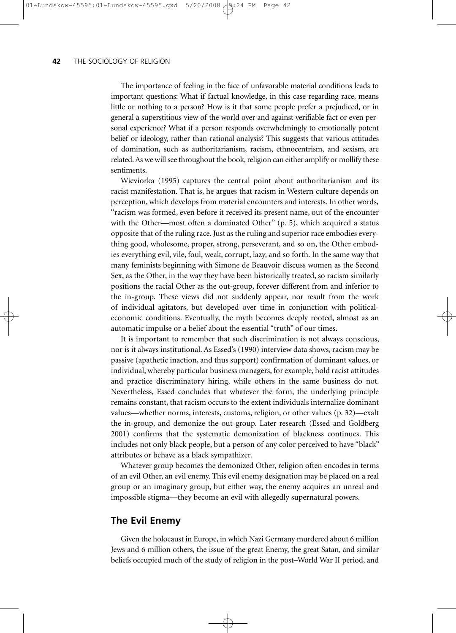The importance of feeling in the face of unfavorable material conditions leads to important questions: What if factual knowledge, in this case regarding race, means little or nothing to a person? How is it that some people prefer a prejudiced, or in general a superstitious view of the world over and against verifiable fact or even personal experience? What if a person responds overwhelmingly to emotionally potent belief or ideology, rather than rational analysis? This suggests that various attitudes of domination, such as authoritarianism, racism, ethnocentrism, and sexism, are related. As we will see throughout the book, religion can either amplify or mollify these sentiments.

Wieviorka (1995) captures the central point about authoritarianism and its racist manifestation. That is, he argues that racism in Western culture depends on perception, which develops from material encounters and interests. In other words, "racism was formed, even before it received its present name, out of the encounter with the Other—most often a dominated Other" (p. 5), which acquired a status opposite that of the ruling race. Just as the ruling and superior race embodies everything good, wholesome, proper, strong, perseverant, and so on, the Other embodies everything evil, vile, foul, weak, corrupt, lazy, and so forth. In the same way that many feminists beginning with Simone de Beauvoir discuss women as the Second Sex, as the Other, in the way they have been historically treated, so racism similarly positions the racial Other as the out-group, forever different from and inferior to the in-group. These views did not suddenly appear, nor result from the work of individual agitators, but developed over time in conjunction with politicaleconomic conditions. Eventually, the myth becomes deeply rooted, almost as an automatic impulse or a belief about the essential "truth" of our times.

It is important to remember that such discrimination is not always conscious, nor is it always institutional. As Essed's (1990) interview data shows, racism may be passive (apathetic inaction, and thus support) confirmation of dominant values, or individual, whereby particular business managers, for example, hold racist attitudes and practice discriminatory hiring, while others in the same business do not. Nevertheless, Essed concludes that whatever the form, the underlying principle remains constant, that racism occurs to the extent individuals internalize dominant values—whether norms, interests, customs, religion, or other values (p. 32)—exalt the in-group, and demonize the out-group. Later research (Essed and Goldberg 2001) confirms that the systematic demonization of blackness continues. This includes not only black people, but a person of any color perceived to have "black" attributes or behave as a black sympathizer.

Whatever group becomes the demonized Other, religion often encodes in terms of an evil Other, an evil enemy. This evil enemy designation may be placed on a real group or an imaginary group, but either way, the enemy acquires an unreal and impossible stigma—they become an evil with allegedly supernatural powers.

## **The Evil Enemy**

Given the holocaust in Europe, in which Nazi Germany murdered about 6 million Jews and 6 million others, the issue of the great Enemy, the great Satan, and similar beliefs occupied much of the study of religion in the post–World War II period, and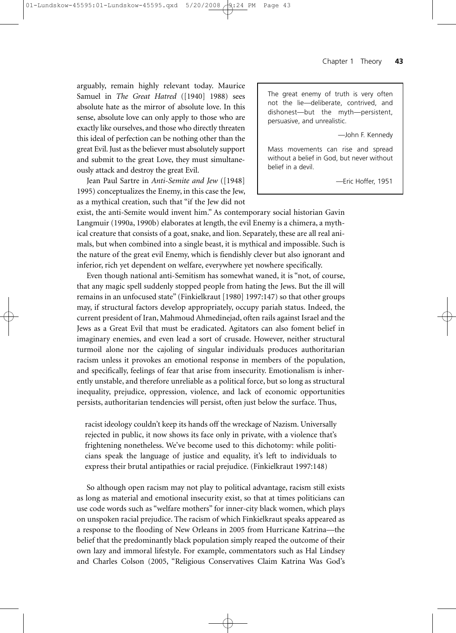arguably, remain highly relevant today. Maurice Samuel in *The Great Hatred* ([1940] 1988) sees absolute hate as the mirror of absolute love. In this sense, absolute love can only apply to those who are exactly like ourselves, and those who directly threaten this ideal of perfection can be nothing other than the great Evil. Just as the believer must absolutely support and submit to the great Love, they must simultaneously attack and destroy the great Evil.

Jean Paul Sartre in *Anti-Semite and Jew* ([1948] 1995) conceptualizes the Enemy, in this case the Jew, as a mythical creation, such that "if the Jew did not The great enemy of truth is very often not the lie—deliberate, contrived, and dishonest—but the myth—persistent, persuasive, and unrealistic.

—John F. Kennedy

Mass movements can rise and spread without a belief in God, but never without belief in a devil.

—Eric Hoffer, 1951

exist, the anti-Semite would invent him." As contemporary social historian Gavin Langmuir (1990a, 1990b) elaborates at length, the evil Enemy is a chimera, a mythical creature that consists of a goat, snake, and lion. Separately, these are all real animals, but when combined into a single beast, it is mythical and impossible. Such is the nature of the great evil Enemy, which is fiendishly clever but also ignorant and inferior, rich yet dependent on welfare, everywhere yet nowhere specifically.

Even though national anti-Semitism has somewhat waned, it is "not, of course, that any magic spell suddenly stopped people from hating the Jews. But the ill will remains in an unfocused state" (Finkielkraut [1980] 1997:147) so that other groups may, if structural factors develop appropriately, occupy pariah status. Indeed, the current president of Iran, Mahmoud Ahmedinejad, often rails against Israel and the Jews as a Great Evil that must be eradicated. Agitators can also foment belief in imaginary enemies, and even lead a sort of crusade. However, neither structural turmoil alone nor the cajoling of singular individuals produces authoritarian racism unless it provokes an emotional response in members of the population, and specifically, feelings of fear that arise from insecurity. Emotionalism is inherently unstable, and therefore unreliable as a political force, but so long as structural inequality, prejudice, oppression, violence, and lack of economic opportunities persists, authoritarian tendencies will persist, often just below the surface. Thus,

racist ideology couldn't keep its hands off the wreckage of Nazism. Universally rejected in public, it now shows its face only in private, with a violence that's frightening nonetheless. We've become used to this dichotomy: while politicians speak the language of justice and equality, it's left to individuals to express their brutal antipathies or racial prejudice. (Finkielkraut 1997:148)

So although open racism may not play to political advantage, racism still exists as long as material and emotional insecurity exist, so that at times politicians can use code words such as "welfare mothers" for inner-city black women, which plays on unspoken racial prejudice. The racism of which Finkielkraut speaks appeared as a response to the flooding of New Orleans in 2005 from Hurricane Katrina—the belief that the predominantly black population simply reaped the outcome of their own lazy and immoral lifestyle. For example, commentators such as Hal Lindsey and Charles Colson (2005, "Religious Conservatives Claim Katrina Was God's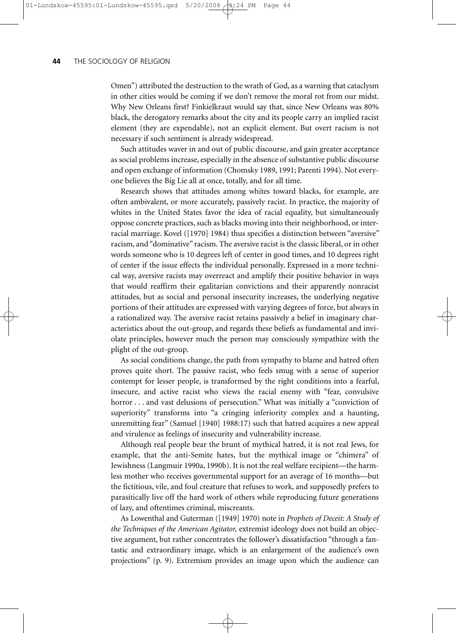Omen") attributed the destruction to the wrath of God, as a warning that cataclysm in other cities would be coming if we don't remove the moral rot from our midst. Why New Orleans first? Finkielkraut would say that, since New Orleans was 80% black, the derogatory remarks about the city and its people carry an implied racist element (they are expendable), not an explicit element. But overt racism is not necessary if such sentiment is already widespread.

Such attitudes waver in and out of public discourse, and gain greater acceptance as social problems increase, especially in the absence of substantive public discourse and open exchange of information (Chomsky 1989, 1991; Parenti 1994). Not everyone believes the Big Lie all at once, totally, and for all time.

Research shows that attitudes among whites toward blacks, for example, are often ambivalent, or more accurately, passively racist. In practice, the majority of whites in the United States favor the idea of racial equality, but simultaneously oppose concrete practices, such as blacks moving into their neighborhood, or interracial marriage. Kovel ([1970] 1984) thus specifies a distinction between "aversive" racism, and "dominative" racism. The aversive racist is the classic liberal, or in other words someone who is 10 degrees left of center in good times, and 10 degrees right of center if the issue effects the individual personally. Expressed in a more technical way, aversive racists may overreact and amplify their positive behavior in ways that would reaffirm their egalitarian convictions and their apparently nonracist attitudes, but as social and personal insecurity increases, the underlying negative portions of their attitudes are expressed with varying degrees of force, but always in a rationalized way. The aversive racist retains passively a belief in imaginary characteristics about the out-group, and regards these beliefs as fundamental and inviolate principles, however much the person may consciously sympathize with the plight of the out-group.

As social conditions change, the path from sympathy to blame and hatred often proves quite short. The passive racist, who feels smug with a sense of superior contempt for lesser people, is transformed by the right conditions into a fearful, insecure, and active racist who views the racial enemy with "fear, convulsive horror . . . and vast delusions of persecution." What was initially a "conviction of superiority" transforms into "a cringing inferiority complex and a haunting, unremitting fear" (Samuel [1940] 1988:17) such that hatred acquires a new appeal and virulence as feelings of insecurity and vulnerability increase.

Although real people bear the brunt of mythical hatred, it is not real Jews, for example, that the anti-Semite hates, but the mythical image or "chimera" of Jewishness (Langmuir 1990a, 1990b). It is not the real welfare recipient—the harmless mother who receives governmental support for an average of 16 months—but the fictitious, vile, and foul creature that refuses to work, and supposedly prefers to parasitically live off the hard work of others while reproducing future generations of lazy, and oftentimes criminal, miscreants.

As Lowenthal and Guterman ([1949] 1970) note in *Prophets of Deceit: A Study of the Techniques of the American Agitator,* extremist ideology does not build an objective argument, but rather concentrates the follower's dissatisfaction "through a fantastic and extraordinary image, which is an enlargement of the audience's own projections" (p. 9). Extremism provides an image upon which the audience can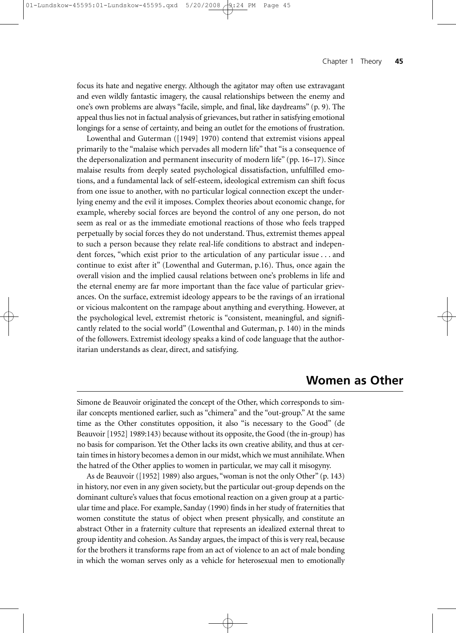focus its hate and negative energy. Although the agitator may often use extravagant and even wildly fantastic imagery, the causal relationships between the enemy and one's own problems are always "facile, simple, and final, like daydreams" (p. 9). The appeal thus lies not in factual analysis of grievances, but rather in satisfying emotional longings for a sense of certainty, and being an outlet for the emotions of frustration.

Lowenthal and Guterman ([1949] 1970) contend that extremist visions appeal primarily to the "malaise which pervades all modern life" that "is a consequence of the depersonalization and permanent insecurity of modern life" (pp. 16–17). Since malaise results from deeply seated psychological dissatisfaction, unfulfilled emotions, and a fundamental lack of self-esteem, ideological extremism can shift focus from one issue to another, with no particular logical connection except the underlying enemy and the evil it imposes. Complex theories about economic change, for example, whereby social forces are beyond the control of any one person, do not seem as real or as the immediate emotional reactions of those who feels trapped perpetually by social forces they do not understand. Thus, extremist themes appeal to such a person because they relate real-life conditions to abstract and independent forces, "which exist prior to the articulation of any particular issue . . . and continue to exist after it" (Lowenthal and Guterman, p.16). Thus, once again the overall vision and the implied causal relations between one's problems in life and the eternal enemy are far more important than the face value of particular grievances. On the surface, extremist ideology appears to be the ravings of an irrational or vicious malcontent on the rampage about anything and everything. However, at the psychological level, extremist rhetoric is "consistent, meaningful, and significantly related to the social world" (Lowenthal and Guterman, p. 140) in the minds of the followers. Extremist ideology speaks a kind of code language that the authoritarian understands as clear, direct, and satisfying.

# **Women as Other**

Simone de Beauvoir originated the concept of the Other, which corresponds to similar concepts mentioned earlier, such as "chimera" and the "out-group." At the same time as the Other constitutes opposition, it also "is necessary to the Good" (de Beauvoir [1952] 1989:143) because without its opposite, the Good (the in-group) has no basis for comparison. Yet the Other lacks its own creative ability, and thus at certain times in history becomes a demon in our midst, which we must annihilate. When the hatred of the Other applies to women in particular, we may call it misogyny.

As de Beauvoir ([1952] 1989) also argues, "woman is not the only Other" (p. 143) in history, nor even in any given society, but the particular out-group depends on the dominant culture's values that focus emotional reaction on a given group at a particular time and place. For example, Sanday (1990) finds in her study of fraternities that women constitute the status of object when present physically, and constitute an abstract Other in a fraternity culture that represents an idealized external threat to group identity and cohesion. As Sanday argues, the impact of this is very real, because for the brothers it transforms rape from an act of violence to an act of male bonding in which the woman serves only as a vehicle for heterosexual men to emotionally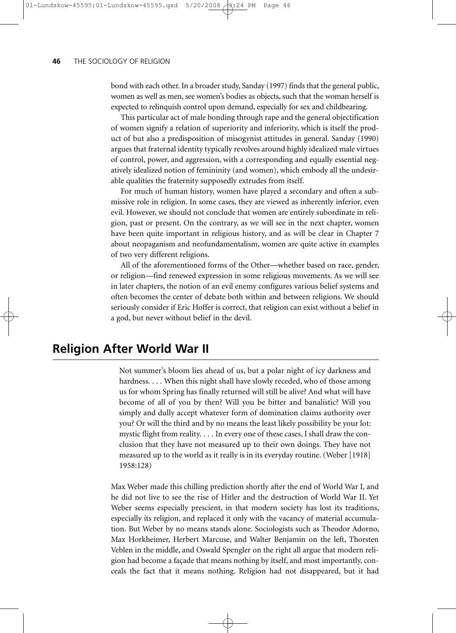bond with each other. In a broader study, Sanday (1997) finds that the general public, women as well as men, see women's bodies as objects, such that the woman herself is expected to relinquish control upon demand, especially for sex and childbearing.

This particular act of male bonding through rape and the general objectification of women signify a relation of superiority and inferiority, which is itself the product of but also a predisposition of misogynist attitudes in general. Sanday (1990) argues that fraternal identity typically revolves around highly idealized male virtues of control, power, and aggression, with a corresponding and equally essential negatively idealized notion of femininity (and women), which embody all the undesirable qualities the fraternity supposedly extrudes from itself.

For much of human history, women have played a secondary and often a submissive role in religion. In some cases, they are viewed as inherently inferior, even evil. However, we should not conclude that women are entirely subordinate in religion, past or present. On the contrary, as we will see in the next chapter, women have been quite important in religious history, and as will be clear in Chapter 7 about neopaganism and neofundamentalism, women are quite active in examples of two very different religions.

All of the aforementioned forms of the Other—whether based on race, gender, or religion—find renewed expression in some religious movements. As we will see in later chapters, the notion of an evil enemy configures various belief systems and often becomes the center of debate both within and between religions. We should seriously consider if Eric Hoffer is correct, that religion can exist without a belief in a god, but never without belief in the devil.

# **Religion After World War II**

Not summer's bloom lies ahead of us, but a polar night of icy darkness and hardness. . . . When this night shall have slowly receded, who of those among us for whom Spring has finally returned will still be alive? And what will have become of all of you by then? Will you be bitter and banalistic? Will you simply and dully accept whatever form of domination claims authority over you? Or will the third and by no means the least likely possibility be your lot: mystic flight from reality. . . . In every one of these cases, I shall draw the conclusion that they have not measured up to their own doings. They have not measured up to the world as it really is in its everyday routine. (Weber [1918] 1958:128)

Max Weber made this chilling prediction shortly after the end of World War I, and he did not live to see the rise of Hitler and the destruction of World War II. Yet Weber seems especially prescient, in that modern society has lost its traditions, especially its religion, and replaced it only with the vacancy of material accumulation. But Weber by no means stands alone. Sociologists such as Theodor Adorno, Max Horkheimer, Herbert Marcuse, and Walter Benjamin on the left, Thorsten Veblen in the middle, and Oswald Spengler on the right all argue that modern religion had become a façade that means nothing by itself, and most importantly, conceals the fact that it means nothing. Religion had not disappeared, but it had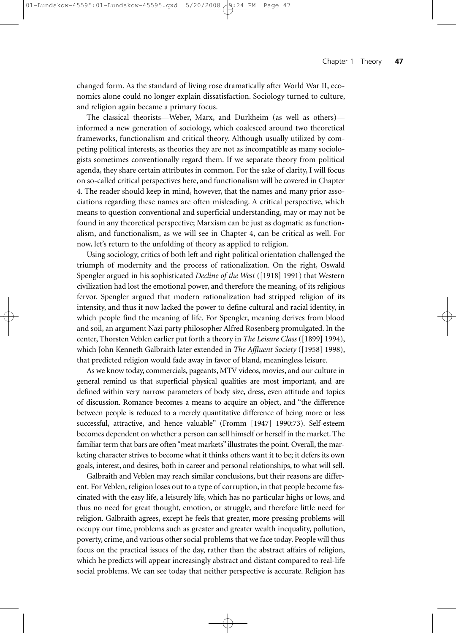changed form. As the standard of living rose dramatically after World War II, economics alone could no longer explain dissatisfaction. Sociology turned to culture, and religion again became a primary focus.

The classical theorists—Weber, Marx, and Durkheim (as well as others) informed a new generation of sociology, which coalesced around two theoretical frameworks, functionalism and critical theory. Although usually utilized by competing political interests, as theories they are not as incompatible as many sociologists sometimes conventionally regard them. If we separate theory from political agenda, they share certain attributes in common. For the sake of clarity, I will focus on so-called critical perspectives here, and functionalism will be covered in Chapter 4. The reader should keep in mind, however, that the names and many prior associations regarding these names are often misleading. A critical perspective, which means to question conventional and superficial understanding, may or may not be found in any theoretical perspective; Marxism can be just as dogmatic as functionalism, and functionalism, as we will see in Chapter 4, can be critical as well. For now, let's return to the unfolding of theory as applied to religion.

Using sociology, critics of both left and right political orientation challenged the triumph of modernity and the process of rationalization. On the right, Oswald Spengler argued in his sophisticated *Decline of the West* ([1918] 1991) that Western civilization had lost the emotional power, and therefore the meaning, of its religious fervor. Spengler argued that modern rationalization had stripped religion of its intensity, and thus it now lacked the power to define cultural and racial identity, in which people find the meaning of life. For Spengler, meaning derives from blood and soil, an argument Nazi party philosopher Alfred Rosenberg promulgated. In the center, Thorsten Veblen earlier put forth a theory in *The Leisure Class* ([1899] 1994), which John Kenneth Galbraith later extended in *The Affluent Society* ([1958] 1998), that predicted religion would fade away in favor of bland, meaningless leisure.

As we know today, commercials, pageants, MTV videos, movies, and our culture in general remind us that superficial physical qualities are most important, and are defined within very narrow parameters of body size, dress, even attitude and topics of discussion. Romance becomes a means to acquire an object, and "the difference between people is reduced to a merely quantitative difference of being more or less successful, attractive, and hence valuable" (Fromm [1947] 1990:73). Self-esteem becomes dependent on whether a person can sell himself or herself in the market. The familiar term that bars are often "meat markets" illustrates the point. Overall, the marketing character strives to become what it thinks others want it to be; it defers its own goals, interest, and desires, both in career and personal relationships, to what will sell.

Galbraith and Veblen may reach similar conclusions, but their reasons are different. For Veblen, religion loses out to a type of corruption, in that people become fascinated with the easy life, a leisurely life, which has no particular highs or lows, and thus no need for great thought, emotion, or struggle, and therefore little need for religion. Galbraith agrees, except he feels that greater, more pressing problems will occupy our time, problems such as greater and greater wealth inequality, pollution, poverty, crime, and various other social problems that we face today. People will thus focus on the practical issues of the day, rather than the abstract affairs of religion, which he predicts will appear increasingly abstract and distant compared to real-life social problems. We can see today that neither perspective is accurate. Religion has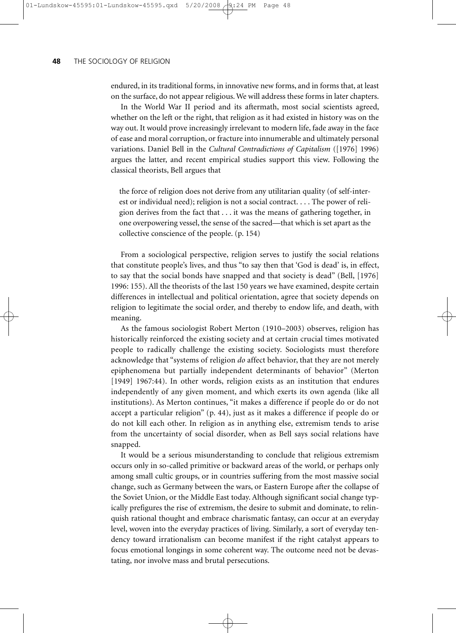endured, in its traditional forms, in innovative new forms, and in forms that, at least on the surface, do not appear religious. We will address these forms in later chapters.

In the World War II period and its aftermath, most social scientists agreed, whether on the left or the right, that religion as it had existed in history was on the way out. It would prove increasingly irrelevant to modern life, fade away in the face of ease and moral corruption, or fracture into innumerable and ultimately personal variations. Daniel Bell in the *Cultural Contradictions of Capitalism* ([1976] 1996) argues the latter, and recent empirical studies support this view. Following the classical theorists, Bell argues that

the force of religion does not derive from any utilitarian quality (of self-interest or individual need); religion is not a social contract. . . . The power of religion derives from the fact that . . . it was the means of gathering together, in one overpowering vessel, the sense of the sacred—that which is set apart as the collective conscience of the people. (p. 154)

From a sociological perspective, religion serves to justify the social relations that constitute people's lives, and thus "to say then that 'God is dead' is, in effect, to say that the social bonds have snapped and that society is dead" (Bell, [1976] 1996: 155). All the theorists of the last 150 years we have examined, despite certain differences in intellectual and political orientation, agree that society depends on religion to legitimate the social order, and thereby to endow life, and death, with meaning.

As the famous sociologist Robert Merton (1910–2003) observes, religion has historically reinforced the existing society and at certain crucial times motivated people to radically challenge the existing society. Sociologists must therefore acknowledge that "systems of religion *do* affect behavior, that they are not merely epiphenomena but partially independent determinants of behavior" (Merton [1949] 1967:44). In other words, religion exists as an institution that endures independently of any given moment, and which exerts its own agenda (like all institutions). As Merton continues, "it makes a difference if people do or do not accept a particular religion" (p. 44), just as it makes a difference if people do or do not kill each other. In religion as in anything else, extremism tends to arise from the uncertainty of social disorder, when as Bell says social relations have snapped.

It would be a serious misunderstanding to conclude that religious extremism occurs only in so-called primitive or backward areas of the world, or perhaps only among small cultic groups, or in countries suffering from the most massive social change, such as Germany between the wars, or Eastern Europe after the collapse of the Soviet Union, or the Middle East today. Although significant social change typically prefigures the rise of extremism, the desire to submit and dominate, to relinquish rational thought and embrace charismatic fantasy, can occur at an everyday level, woven into the everyday practices of living. Similarly, a sort of everyday tendency toward irrationalism can become manifest if the right catalyst appears to focus emotional longings in some coherent way. The outcome need not be devastating, nor involve mass and brutal persecutions.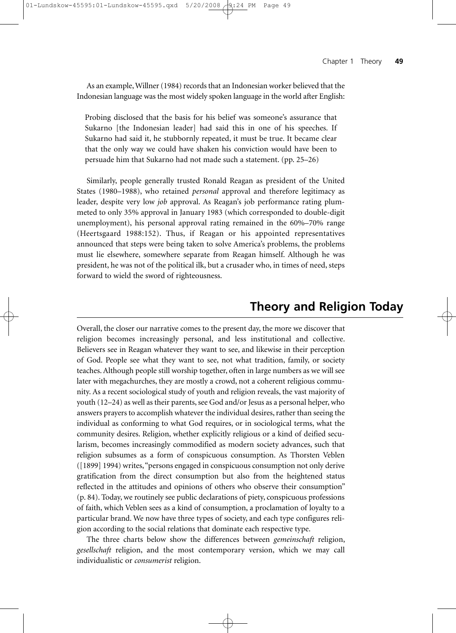As an example, Willner (1984) records that an Indonesian worker believed that the Indonesian language was the most widely spoken language in the world after English:

Probing disclosed that the basis for his belief was someone's assurance that Sukarno [the Indonesian leader] had said this in one of his speeches. If Sukarno had said it, he stubbornly repeated, it must be true. It became clear that the only way we could have shaken his conviction would have been to persuade him that Sukarno had not made such a statement. (pp. 25–26)

Similarly, people generally trusted Ronald Reagan as president of the United States (1980–1988), who retained *personal* approval and therefore legitimacy as leader, despite very low *job* approval. As Reagan's job performance rating plummeted to only 35% approval in January 1983 (which corresponded to double-digit unemployment), his personal approval rating remained in the 60%–70% range (Heertsgaard 1988:152). Thus, if Reagan or his appointed representatives announced that steps were being taken to solve America's problems, the problems must lie elsewhere, somewhere separate from Reagan himself. Although he was president, he was not of the political ilk, but a crusader who, in times of need, steps forward to wield the sword of righteousness.

# **Theory and Religion Today**

Overall, the closer our narrative comes to the present day, the more we discover that religion becomes increasingly personal, and less institutional and collective. Believers see in Reagan whatever they want to see, and likewise in their perception of God. People see what they want to see, not what tradition, family, or society teaches. Although people still worship together, often in large numbers as we will see later with megachurches, they are mostly a crowd, not a coherent religious community. As a recent sociological study of youth and religion reveals, the vast majority of youth (12–24) as well as their parents, see God and/or Jesus as a personal helper, who answers prayers to accomplish whatever the individual desires, rather than seeing the individual as conforming to what God requires, or in sociological terms, what the community desires. Religion, whether explicitly religious or a kind of deified secularism, becomes increasingly commodified as modern society advances, such that religion subsumes as a form of conspicuous consumption. As Thorsten Veblen ([1899] 1994) writes, "persons engaged in conspicuous consumption not only derive gratification from the direct consumption but also from the heightened status reflected in the attitudes and opinions of others who observe their consumption" (p. 84). Today, we routinely see public declarations of piety, conspicuous professions of faith, which Veblen sees as a kind of consumption, a proclamation of loyalty to a particular brand. We now have three types of society, and each type configures religion according to the social relations that dominate each respective type.

The three charts below show the differences between *gemeinschaft* religion, *gesellschaft* religion, and the most contemporary version, which we may call individualistic or *consumerist* religion.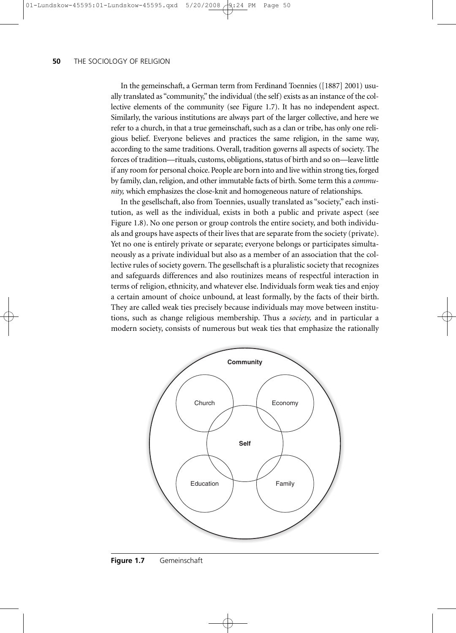In the gemeinschaft, a German term from Ferdinand Toennies ([1887] 2001) usually translated as "community," the individual (the self) exists as an instance of the collective elements of the community (see Figure 1.7). It has no independent aspect. Similarly, the various institutions are always part of the larger collective, and here we refer to a church, in that a true gemeinschaft, such as a clan or tribe, has only one religious belief. Everyone believes and practices the same religion, in the same way, according to the same traditions. Overall, tradition governs all aspects of society. The forces of tradition—rituals, customs, obligations, status of birth and so on—leave little if any room for personal choice. People are born into and live within strong ties, forged by family, clan, religion, and other immutable facts of birth. Some term this a *community,* which emphasizes the close-knit and homogeneous nature of relationships.

In the gesellschaft, also from Toennies, usually translated as "society," each institution, as well as the individual, exists in both a public and private aspect (see Figure 1.8). No one person or group controls the entire society, and both individuals and groups have aspects of their lives that are separate from the society (private). Yet no one is entirely private or separate; everyone belongs or participates simultaneously as a private individual but also as a member of an association that the collective rules of society govern. The gesellschaft is a pluralistic society that recognizes and safeguards differences and also routinizes means of respectful interaction in terms of religion, ethnicity, and whatever else. Individuals form weak ties and enjoy a certain amount of choice unbound, at least formally, by the facts of their birth. They are called weak ties precisely because individuals may move between institutions, such as change religious membership. Thus a *society,* and in particular a modern society, consists of numerous but weak ties that emphasize the rationally



**Figure 1.7** Gemeinschaft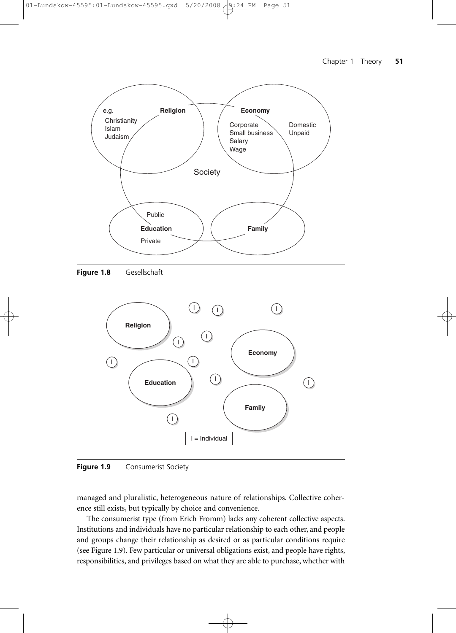

**Figure 1.8** Gesellschaft



**Figure 1.9** Consumerist Society

managed and pluralistic, heterogeneous nature of relationships. Collective coherence still exists, but typically by choice and convenience.

The consumerist type (from Erich Fromm) lacks any coherent collective aspects. Institutions and individuals have no particular relationship to each other, and people and groups change their relationship as desired or as particular conditions require (see Figure 1.9). Few particular or universal obligations exist, and people have rights, responsibilities, and privileges based on what they are able to purchase, whether with